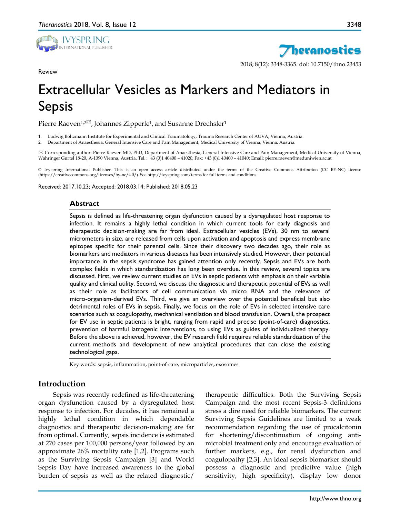

Review



# Extracellular Vesicles as Markers and Mediators in Sepsis

Pierre Raeven<sup>1,2 $\boxtimes$ </sup>, Johannes Zipperle<sup>1</sup>, and Susanne Drechsler<sup>1</sup>

1. Ludwig Boltzmann Institute for Experimental and Clinical Traumatology, Trauma Research Center of AUVA, Vienna, Austria.

2. Department of Anaesthesia, General Intensive Care and Pain Management, Medical University of Vienna, Vienna, Austria.

 Corresponding author: Pierre Raeven MD, PhD, Department of Anaesthesia, General Intensive Care and Pain Management, Medical University of Vienna, Währinger Gürtel 18-20, A-1090 Vienna, Austria. Tel.: +43 (0)1 40400 – 41020; Fax: +43 (0)1 40400 – 41040; Email: pierre.raeven@meduniwien.ac.at

© Ivyspring International Publisher. This is an open access article distributed under the terms of the Creative Commons Attribution (CC BY-NC) license (https://creativecommons.org/licenses/by-nc/4.0/). See http://ivyspring.com/terms for full terms and conditions.

Received: 2017.10.23; Accepted: 2018.03.14; Published: 2018.05.23

### **Abstract**

Sepsis is defined as life-threatening organ dysfunction caused by a dysregulated host response to infection. It remains a highly lethal condition in which current tools for early diagnosis and therapeutic decision-making are far from ideal. Extracellular vesicles (EVs), 30 nm to several micrometers in size, are released from cells upon activation and apoptosis and express membrane epitopes specific for their parental cells. Since their discovery two decades ago, their role as biomarkers and mediators in various diseases has been intensively studied. However, their potential importance in the sepsis syndrome has gained attention only recently. Sepsis and EVs are both complex fields in which standardization has long been overdue. In this review, several topics are discussed. First, we review current studies on EVs in septic patients with emphasis on their variable quality and clinical utility. Second, we discuss the diagnostic and therapeutic potential of EVs as well as their role as facilitators of cell communication via micro RNA and the relevance of micro-organism-derived EVs. Third, we give an overview over the potential beneficial but also detrimental roles of EVs in sepsis. Finally, we focus on the role of EVs in selected intensive care scenarios such as coagulopathy, mechanical ventilation and blood transfusion. Overall, the prospect for EV use in septic patients is bright, ranging from rapid and precise (point-of-care) diagnostics, prevention of harmful iatrogenic interventions, to using EVs as guides of individualized therapy. Before the above is achieved, however, the EV research field requires reliable standardization of the current methods and development of new analytical procedures that can close the existing technological gaps.

Key words: sepsis, inflammation, point-of-care, microparticles, exosomes

## **Introduction**

Sepsis was recently redefined as life-threatening organ dysfunction caused by a dysregulated host response to infection. For decades, it has remained a highly lethal condition in which dependable diagnostics and therapeutic decision-making are far from optimal. Currently, sepsis incidence is estimated at 270 cases per 100,000 persons/year followed by an approximate 26% mortality rate [1,2]. Programs such as the Surviving Sepsis Campaign [3] and World Sepsis Day have increased awareness to the global burden of sepsis as well as the related diagnostic/

therapeutic difficulties. Both the Surviving Sepsis Campaign and the most recent Sepsis-3 definitions stress a dire need for reliable biomarkers. The current Surviving Sepsis Guidelines are limited to a weak recommendation regarding the use of procalcitonin for shortening/discontinuation of ongoing antimicrobial treatment only and encourage evaluation of further markers, e.g., for renal dysfunction and coagulopathy [2,3]. An ideal sepsis biomarker should possess a diagnostic and predictive value (high sensitivity, high specificity), display low donor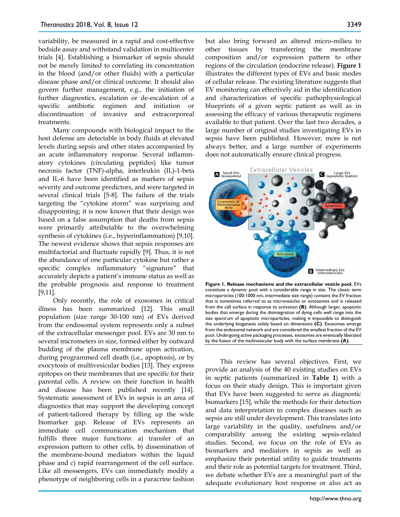variability, be measured in a rapid and cost-effective bedside assay and withstand validation in multicenter trials [4]. Establishing a biomarker of sepsis should not be merely limited to correlating its concentration in the blood (and/or other fluids) with a particular disease phase and/or clinical outcome. It should also govern further management, e.g., the initiation of further diagnostics, escalation or de-escalation of a specific antibiotic regimen and initiation or discontinuation of invasive and extracorporeal treatments.

Many compounds with biological impact to the host defense are detectable in body fluids at elevated levels during sepsis and other states accompanied by an acute inflammatory response. Several inflammatory cytokines (circulating peptides) like tumor necrosis factor (TNF)-alpha, interleukin (IL)-1-beta and IL-6 have been identified as markers of sepsis severity and outcome predictors, and were targeted in several clinical trials [5-8]. The failure of the trials targeting the "cytokine storm" was surprising and disappointing; it is now known that their design was based on a false assumption that deaths from sepsis were primarily attributable to the overwhelming synthesis of cytokines (i.e., hyperinflammation) [9,10]. The newest evidence shows that sepsis responses are multifactorial and fluctuate rapidly [9]. Thus, it is not the abundance of one particular cytokine but rather a specific complex inflammatory "signature" that accurately depicts a patient's immune status as well as the probable prognosis and response to treatment [9,11].

Only recently, the role of exosomes in critical illness has been summarized [12]. This small population (size range 30-100 nm) of EVs derived from the endosomal system represents only a subset of the extracellular messenger pool. EVs are 30 nm to several micrometers in size, formed either by outward budding of the plasma membrane upon activation, during programmed cell death (i.e., apoptosis), or by exocytosis of multivesicular bodies [13]. They express epitopes on their membranes that are specific for their parental cells. A review on their function in health and disease has been published recently [14]. Systematic assessment of EVs in sepsis is an area of diagnostics that may support the developing concept of patient-tailored therapy by filling up the wide biomarker gap. Release of EVs represents an immediate cell communication mechanism that fulfills three major functions: a) transfer of an expression pattern to other cells, b) dissemination of the membrane-bound mediators within the liquid phase and c) rapid rearrangement of the cell surface. Like all messengers, EVs can immediately modify a phenotype of neighboring cells in a paracrine fashion

but also bring forward an altered micro-milieu to other tissues by transferring the membrane composition and/or expression pattern to other regions of the circulation (endocrine release). **Figure 1** illustrates the different types of EVs and basic modes of cellular release. The existing literature suggests that EV monitoring can effectively aid in the identification and characterization of specific pathophysiological blueprints of a given septic patient as well as in assessing the efficacy of various therapeutic regimens available to that patient. Over the last two decades, a large number of original studies investigating EVs in sepsis have been published. However, more is not always better, and a large number of experiments does not automatically ensure clinical progress.



**Figure 1. Release mechanisms and the extracellular vesicle pool.** EVs constitute a dynamic pool with a considerable range in size. The classic term microparticles (100-1000 nm, intermediate size range) contains the EV fraction that is sometimes referred to as microvesicles or ectosomes and is released from the cell surface in response to activation **(B)**. Although larger, apoptotic bodies that emerge during the disintegration of dying cells well range into the size spectrum of apoptotic microparticles, making it impossible to distinguish the underlying biogenesis solely based on dimensions **(C)**. Exosomes emerge from the endosomal network and are considered the smallest fraction of the EV pool. Undergoing active packaging processes, exosomes are eventually liberated by the fusion of the multivesicular body with the surface membrane **(A)**.

This review has several objectives. First, we provide an analysis of the 40 existing studies on EVs in septic patients (summarized in **Table 1**) with a focus on their study design. This is important given that EVs have been suggested to serve as diagnostic biomarkers [15], while the methods for their detection and data interpretation in complex diseases such as sepsis are still under development. This translates into large variability in the quality, usefulness and/or comparability among the existing sepsis-related studies. Second, we focus on the role of EVs as biomarkers and mediators in sepsis as well as emphasize their potential utility to guide treatments and their role as potential targets for treatment. Third, we debate whether EVs are a meaningful part of the adequate evolutionary host response or also act as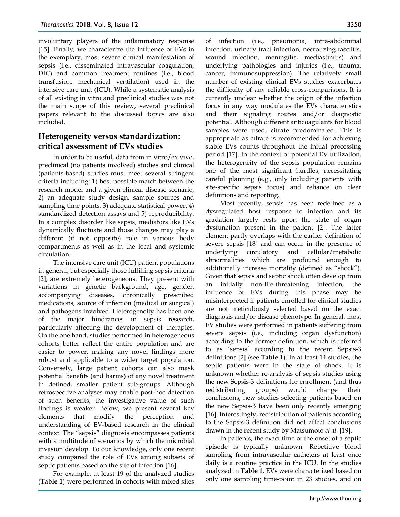involuntary players of the inflammatory response [15]. Finally, we characterize the influence of EVs in the exemplary, most severe clinical manifestation of sepsis (i.e., disseminated intravascular coagulation, DIC) and common treatment routines (i.e., blood transfusion, mechanical ventilation) used in the intensive care unit (ICU). While a systematic analysis of all existing in vitro and preclinical studies was not the main scope of this review, several preclinical papers relevant to the discussed topics are also included.

## **Heterogeneity versus standardization: critical assessment of EVs studies**

In order to be useful, data from in vitro/ex vivo, preclinical (no patients involved) studies and clinical (patients-based) studies must meet several stringent criteria including: 1) best possible match between the research model and a given clinical disease scenario, 2) an adequate study design, sample sources and sampling time points, 3) adequate statistical power, 4) standardized detection assays and 5) reproducibility. In a complex disorder like sepsis, mediators like EVs dynamically fluctuate and those changes may play a different (if not opposite) role in various body compartments as well as in the local and systemic circulation.

The intensive care unit (ICU) patient populations in general, but especially those fulfilling sepsis criteria [2], are extremely heterogeneous. They present with variations in genetic background, age, gender, accompanying diseases, chronically prescribed medications, source of infection (medical or surgical) and pathogens involved. Heterogeneity has been one of the major hindrances in sepsis research, particularly affecting the development of therapies. On the one hand, studies performed in heterogeneous cohorts better reflect the entire population and are easier to power, making any novel findings more robust and applicable to a wider target population. Conversely, large patient cohorts can also mask potential benefits (and harms) of any novel treatment in defined, smaller patient sub-groups. Although retrospective analyses may enable post-hoc detection of such benefits, the investigative value of such findings is weaker. Below, we present several key elements that modify the perception and understanding of EV-based research in the clinical context. The "sepsis" diagnosis encompasses patients with a multitude of scenarios by which the microbial invasion develop. To our knowledge, only one recent study compared the role of EVs among subsets of septic patients based on the site of infection [16].

For example, at least 19 of the analyzed studies (**Table 1**) were performed in cohorts with mixed sites

of infection (i.e., pneumonia, intra-abdominal infection, urinary tract infection, necrotizing fasciitis, wound infection, meningitis, mediastinitis) and underlying pathologies and injuries (i.e., trauma, cancer, immunosuppression). The relatively small number of existing clinical EVs studies exacerbates the difficulty of any reliable cross-comparisons. It is currently unclear whether the origin of the infection focus in any way modulates the EVs characteristics and their signaling routes and/or diagnostic potential. Although different anticoagulants for blood samples were used, citrate predominated. This is appropriate as citrate is recommended for achieving stable EVs counts throughout the initial processing period [17]. In the context of potential EV utilization, the heterogeneity of the sepsis population remains one of the most significant hurdles, necessitating careful planning (e.g., only including patients with site-specific sepsis focus) and reliance on clear definitions and reporting.

Most recently, sepsis has been redefined as a dysregulated host response to infection and its gradation largely rests upon the state of organ dysfunction present in the patient [2]. The latter element partly overlaps with the earlier definition of severe sepsis [18] and can occur in the presence of underlying circulatory and cellular/metabolic abnormalities which are profound enough to additionally increase mortality (defined as "shock"). Given that sepsis and septic shock often develop from an initially non-life-threatening infection, the influence of EVs during this phase may be misinterpreted if patients enrolled for clinical studies are not meticulously selected based on the exact diagnosis and/or disease phenotype. In general, most EV studies were performed in patients suffering from severe sepsis (i.e., including organ dysfunction) according to the former definition, which is referred to as 'sepsis' according to the recent Sepsis-3 definitions [2] (see **Table 1**). In at least 14 studies, the septic patients were in the state of shock. It is unknown whether re-analysis of sepsis studies using the new Sepsis-3 definitions for enrollment (and thus redistributing groups) would change their conclusions; new studies selecting patients based on the new Sepsis-3 have been only recently emerging [16]. Interestingly, redistribution of patients according to the Sepsis-3 definition did not affect conclusions drawn in the recent study by Matsumoto *et al.* [19].

In patients, the exact time of the onset of a septic episode is typically unknown. Repetitive blood sampling from intravascular catheters at least once daily is a routine practice in the ICU. In the studies analyzed in **Table 1**, EVs were characterized based on only one sampling time-point in 23 studies, and on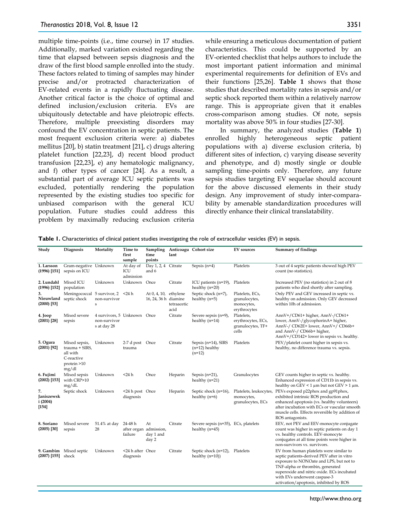multiple time-points (i.e., time course) in 17 studies. Additionally, marked variation existed regarding the time that elapsed between sepsis diagnosis and the draw of the first blood sample enrolled into the study. These factors related to timing of samples may hinder precise and/or protracted characterization of EV-related events in a rapidly fluctuating disease. Another critical factor is the choice of optimal and defined inclusion/exclusion criteria. EVs are ubiquitously detectable and have pleiotropic effects. Therefore, multiple preexisting disorders may confound the EV concentration in septic patients. The most frequent exclusion criteria were: a) diabetes mellitus [20], b) statin treatment [21], c) drugs altering platelet function [22,23], d) recent blood product transfusion [22,23], e) any hematologic malignancy, and f) other types of cancer [24]. As a result, a substantial part of average ICU septic patients was excluded, potentially rendering the population represented by the existing studies too specific for unbiased comparison with the general ICU population. Future studies could address this problem by maximally reducing exclusion criteria

while ensuring a meticulous documentation of patient characteristics. This could be supported by an EV-oriented checklist that helps authors to include the most important patient information and minimal experimental requirements for definition of EVs and their functions [25,26]. **Table 1** shows that those studies that described mortality rates in sepsis and/or septic shock reported them within a relatively narrow range. This is appropriate given that it enables cross-comparison among studies. Of note, sepsis mortality was above 50% in four studies [27-30].

In summary, the analyzed studies (**Table 1**) enrolled highly heterogeneous septic patient populations with a) diverse exclusion criteria, b) different sites of infection, c) varying disease severity and phenotype, and d) mostly single or double sampling time-points only. Therefore, any future sepsis studies targeting EV sequelae should account for the above discussed elements in their study design. Any improvement of study inter-comparability by amenable standardization procedures will directly enhance their clinical translatability.

| Table 1. Characteristics of clinical patient studies investigating the role of extracellular vesicles (EV) in sepsis. |  |  |  |  |
|-----------------------------------------------------------------------------------------------------------------------|--|--|--|--|
|-----------------------------------------------------------------------------------------------------------------------|--|--|--|--|

| Study                                | Diagnosis                                                                         | Mortality                                                  | Time to<br>first<br>sample    | Sampling<br>time<br>points                         | lant                            | Anticoagu Cohort size                                    | <b>EV</b> sources                                              | <b>Summary of findings</b>                                                                                                                                                                                                                                                                   |
|--------------------------------------|-----------------------------------------------------------------------------------|------------------------------------------------------------|-------------------------------|----------------------------------------------------|---------------------------------|----------------------------------------------------------|----------------------------------------------------------------|----------------------------------------------------------------------------------------------------------------------------------------------------------------------------------------------------------------------------------------------------------------------------------------------|
| 1. Larsson<br>$(1996)$ [151]         | Gram-negative Unknown<br>sepsis on ICU                                            |                                                            | At day of<br>ICU<br>admission | Day 1, 2, 4<br>and 6                               | Citrate                         | Sepsis $(n=4)$                                           | Platelets                                                      | 3 out of 4 septic patients showed high PEV<br>count (no statistics).                                                                                                                                                                                                                         |
| 2. Lundahl<br>$(1996)$ [152]         | Mixed ICU<br>population                                                           | Unknown                                                    | Unknown Once                  |                                                    | Citrate                         | ICU patients (n=19), Platelets<br>healthy $(n=20)$       |                                                                | Increased PEV (no statistics) in 2 out of 8<br>patients who died shortly after sampling.                                                                                                                                                                                                     |
| 3.<br>$(2000)$ [53]                  | Meningococcal 5 survivor, 2 <24 h<br>Nieuwland septic shock                       | non-survivor<br>s                                          |                               | At 0, 4, 10,<br>16, 24, 36 h diamine               | ethylene<br>tetraacetic<br>acid | Septic shock (n=7),<br>healthy $(n=5)$                   | Platelets, ECs,<br>granulocytes,<br>monocytes,<br>erythrocytes | Only PEV and GEV increased in septic vs.<br>healthy on admission. Only GEV decreased<br>within 10h of admission.                                                                                                                                                                             |
| 4. Joop<br>$(2001)$ [28]             | Mixed severe<br>sepsis                                                            | 4 survivors, 5 Unknown Once<br>non-survivor<br>s at day 28 |                               |                                                    | Citrate                         | Severe sepsis (n=9),<br>healthy $(n=14)$                 | Platelets,<br>erythrocytes, ECs,<br>granulocytes, TF+<br>cells | AnnV+/CD61+ higher, AnnV-/CD61+<br>lower, AnnV-/glycophorinA+ higher,<br>AnnV-/ CD62E+ lower, AnnV+/ CD66b+<br>and AnnV-/ CD66b+ higher,<br>AnnV+/CD142+ lower in sepsis vs. healthy.                                                                                                        |
| 5. Ogura<br>$(2001)$ [92]            | Mixed sepsis,<br>trauma + SIRS,<br>all with<br>C-reactive<br>protein >10<br>mg/dl | Unknown                                                    | 2-7 d post Once<br>trauma     |                                                    | Citrate                         | Sepsis (n=14), SIRS<br>$(n=12)$ healthy<br>$(n=12)$      | Platelets                                                      | PEV/platelet count higher in sepsis vs.<br>healthy, no difference trauma vs. sepsis.                                                                                                                                                                                                         |
| 6. Fujimi<br>$(2002)$ [153]          | Mixed sepsis<br>with CRP>10<br>mg/dL                                              | Unknown                                                    | $<$ 24 $h$                    | Once                                               | Heparin                         | Sepsis $(n=21)$ ,<br>healthy $(n=21)$                    | Granulocytes                                                   | GEV counts higher in septic vs. healthy.<br>Enhanced expression of CD11b in sepsis vs.<br>healthy on GEV < 1 $\mu$ m but not GEV > 1 $\mu$ m.                                                                                                                                                |
| 7.<br>Janiszewsk<br>i(2004)<br>[154] | Septic shock                                                                      | Unknown                                                    | <24 h post Once<br>diagnosis  |                                                    | Heparin                         | Septic shock (n=16),<br>healthy $(n=6)$                  | Platelets, leukocytes,<br>monocytes,<br>granulocytes, ECs      | PEVs exposed p22phox and gp91phox,<br>exhibited intrinsic ROS production and<br>enhanced apoptosis (vs. healthy volunteers)<br>after incubation with ECs or vascular smooth<br>muscle cells. Effects reversible by addition of<br>ROS antagonists.                                           |
| 8. Soriano<br>$(2005)$ [30]          | Mixed severe<br>sepsis                                                            | 51.4% at day<br>28                                         | 24-48 h<br>failure            | At<br>after organ admission,<br>day 1 and<br>day 2 | Citrate                         | Severe sepsis (n=35), ECs, platelets<br>healthy $(n=45)$ |                                                                | EEV, not PEV and EEV-monocyte conjugate<br>count was higher in septic patients on day 1<br>vs. healthy controls. EEV-monocyte<br>conjugates at all time points were higher in<br>non-survivors vs. survivors.                                                                                |
| $(2007)$ [155]                       | 9. Gambim Mixed septic<br>shock                                                   | Unknown                                                    | <24 h after Once<br>diagnosis |                                                    | Citrate                         | Septic shock (n=12), Platelets<br>healthy $(n=10)$ )     |                                                                | EV from human platelets were similar to<br>septic patients-derived PEV after in vitro<br>exposure to NONOate and LPS, but not to<br>TNF-alpha or thrombin, generated<br>superoxide and nitric oxide. ECs incubated<br>with EVs underwent caspase-3<br>activation/apoptosis, inhibited by ROS |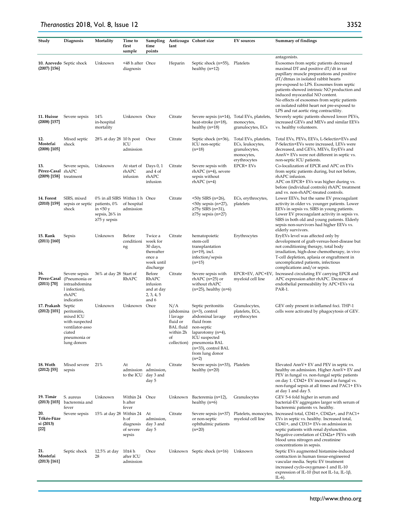| Study                                    | Diagnosis                                                                                                         | Mortality                                                                          | Time to<br>first<br>sample                 | Sampling<br>time<br>points                                                         | lant                                                          | Anticoagu Cohort size                                                                                                                                                                                                     | <b>EV</b> sources                                                                        | <b>Summary of findings</b>                                                                                                                                                                                                                                                                                                                                                                                       |
|------------------------------------------|-------------------------------------------------------------------------------------------------------------------|------------------------------------------------------------------------------------|--------------------------------------------|------------------------------------------------------------------------------------|---------------------------------------------------------------|---------------------------------------------------------------------------------------------------------------------------------------------------------------------------------------------------------------------------|------------------------------------------------------------------------------------------|------------------------------------------------------------------------------------------------------------------------------------------------------------------------------------------------------------------------------------------------------------------------------------------------------------------------------------------------------------------------------------------------------------------|
| $(2007)$ [156]                           | 10. Azevedo Septic shock                                                                                          | Unknown                                                                            | <48 h after Once<br>diagnosis              |                                                                                    | Heparin                                                       | Septic shock (n=55), Platelets<br>healthy $(n=12)$                                                                                                                                                                        |                                                                                          | antagonists.<br>Exosomes from septic patients decreased<br>maximal DT and positive $dT/dt$ in rat<br>papillary muscle preparations and positive<br>dT/dtmax in isolated rabbit hearts<br>pre-exposed to LPS. Exosomes from septic<br>patients showed intrinsic NO production and<br>induced myocardial NO content.<br>No effects of exosomes from septic patients<br>on isolated rabbit heart not pre-exposed to |
| 11. Huisse<br>$(2008)$ [157]             | Severe sepsis                                                                                                     | 14%<br>in-hospital<br>mortality                                                    | Unknown Once                               |                                                                                    | Citrate                                                       | Severe sepsis (n=14), Total EVs, platelets,<br>heat-stroke (n=18),<br>healthy $(n=18)$                                                                                                                                    | monocytes,<br>granulocytes, ECs                                                          | LPS and rat aortic ring contractility.<br>Severely septic patients showed lower PEVs,<br>increased GEVs and MEVs and similar EEVs<br>vs. healthy volunteers.                                                                                                                                                                                                                                                     |
| 12.<br>Mostefai<br>$(2008)$ [105]        | Mixed septic<br>shock                                                                                             | 28% at day 28 10 h post                                                            | ICU<br>admission                           | Once                                                                               | Citrate                                                       | Septic shock (n=36),<br>ICU non-septic<br>$(n=18)$                                                                                                                                                                        | Total EVs, platelets,<br>ECs, leukocytes,<br>granulocytes,<br>monocytes,<br>erythrocytes | Total EVs, PEVs, EEVs, L-Selectin+EVs and<br>P-Selectin+EVs were increased, LEVs were<br>decreased, and GEVs, MEVs, EryEVs and<br>AnnV+ EVs were not different in septic vs.<br>non-septic ICU patients.                                                                                                                                                                                                         |
| 13.<br>Pérez-Casal rhAPC<br>(2009) [158] | Severe sepsis,<br>treatment                                                                                       | Unknown                                                                            | At start of Days 0, 1<br>rhAPC<br>infusion | and 4 of<br>rhAPC<br>infusion                                                      | Citrate                                                       | Severe sepsis with<br>rhAPC (n=4), severe<br>sepsis without<br>$rhAPC(n=4)$                                                                                                                                               | EPCR+ EVs                                                                                | Co-localization of EPCR and APC on EVs<br>from septic patients during, but not before,<br>rhAPC infusion.<br>APC on EPCR+ EVs was higher during vs.<br>before (individual controls) rhAPC treatment<br>and vs. non-rhAPC-treated controls.                                                                                                                                                                       |
| 14. Forest<br>$(2010)$ [159]             | SIRS, mixed<br>sepsis or septic patients, 0%<br>shock                                                             | 0% in all SIRS Within 1 h Once<br>in $50y$<br>sepsis, 26% in<br>$\geq$ 75 y sepsis | of hospital<br>admission                   |                                                                                    | Citrate                                                       | <50y SIRS (n=26),<br>$50y$ sepsis (n=27),<br>$≥75y$ SIRS (n=31),<br>≥75y sepsis (n=27)                                                                                                                                    | ECs, erythrocytes,<br>platelets                                                          | Lower EEVs, but the same EV procoagulant<br>activity in older vs. younger patients. Lower<br>EEVs in sepsis vs. SIRS in young patients.<br>Lower EV procoagulant activity in sepsis vs.<br>SIRS in both old and young patients. Elderly<br>sepsis non-survivors had higher EEVs vs.<br>elderly survivors.                                                                                                        |
| 15. Rank<br>$(2011)$ [160]               | Sepsis                                                                                                            | Unknown                                                                            | Before<br>conditioni<br>ng                 | Twice a<br>week for<br>30 days,<br>thereafter<br>once a<br>week until<br>discharge | Citrate                                                       | hematopoietic<br>stem-cell<br>transplantation<br>$(n=19)$ , incl.<br>infection/sepsis<br>$(n=15)$                                                                                                                         | Erythrocytes                                                                             | EryEVs level was affected only by<br>development of graft-versus-host-disease but<br>not conditioning therapy, total body<br>irradiation, high-dose chemotherapy, in vivo<br>T-cell depletion, aplasia or engraftment in<br>uncomplicated patients, infectious<br>complications and/or sepsis.                                                                                                                   |
| 16.<br>$(2011)$ [70]                     | Severe sepsis<br>Pérez-Casal (Pneumonia or<br>intraabdomina<br>1 infection),<br>rhAPC<br>indication               | 36% at day 28 Start of                                                             | RhAPC                                      | Before<br>RhAPC<br>infusion<br>and at day<br>2, 3, 4, 5<br>and 6                   | Citrate                                                       | Severe sepsis with<br>$rhAPC$ ( $n=25$ ) or<br>without rhAPC<br>$(n=25)$ , healthy $(n=6)$                                                                                                                                | EPCR+EV, APC+EV<br>myeloid cell line                                                     | Increased circulating EV carrying EPCR and<br>APC expression after rhAPC. Decrease of<br>endothelial permeability by APC+EVs via<br>PAR-1.                                                                                                                                                                                                                                                                       |
| 17. Prakash<br>$(2012)$ [101]            | Septic<br>peritonitis,<br>mixed ICU<br>with suspected<br>ventilator-asso<br>ciated<br>pneumonia or<br>lung donors | Unknown                                                                            | Unknown Once                               |                                                                                    | N/A<br>l lavage<br>fluid or<br>BAL fluid<br>of<br>collection) | Septic peritonitis<br>(abdomina (n=3), control<br>abdominal lavage<br>fluid from<br>non-septic<br>within $2h$ laparotomy $(n=4)$ ,<br>ICU suspected<br>pneumonia BAL<br>(n=33), control BAL<br>from lung donor<br>$(n=2)$ | Granulocytes,<br>platelets, ECs,<br>erythrocytes                                         | GEV only present in inflamed foci. THP-1<br>cells were activated by phagocytosis of GEV.                                                                                                                                                                                                                                                                                                                         |
| 18. Woth<br>$(2012)$ [55]                | Mixed severe<br>sepsis                                                                                            | 21%                                                                                | At<br>admission<br>to the ICU              | At<br>admission,<br>day 3 and<br>day 5                                             | Citrate                                                       | Severe sepsis (n=33), Platelets<br>healthy $(n=20)$                                                                                                                                                                       |                                                                                          | Elevated AnnV+ EV and PEV in septic vs.<br>healthy on admission. Higher AnnV+ EV and<br>PEV in fungal vs. non-fungal septic patients<br>on day 1. CD42+ EV increased in fungal vs.<br>non-fungal sepsis at all times and PAC1+ EVs<br>at day 1 and day 5.                                                                                                                                                        |
| 19. Timár<br>$(2013)$ [103]              | S. aureus<br>bacteremia and<br>fever                                                                              | Unknown                                                                            | Within 24 Once<br>h after<br>fever         |                                                                                    |                                                               | Unknown Bacteremia (n=12),<br>healthy $(n=6)$                                                                                                                                                                             | Granulocytes                                                                             | GEV 5-6 fold higher in serum and<br>bacterial-EV aggregates larger with serum of<br>bacteremic patients vs. healthy.                                                                                                                                                                                                                                                                                             |
| 20.<br>Tőkés-Füze<br>si (2013)<br>$[22]$ | Severe sepsis                                                                                                     | 15% at day 28 Within 24                                                            | h of<br>diagnosis<br>of severe<br>sepsis   | At<br>admission,<br>day 3 and<br>day 5                                             | Citrate                                                       | Severe sepsis (n=37)<br>or non-septic<br>ophthalmic patients<br>$(n=20)$                                                                                                                                                  | Platelets, monocytes,<br>myeloid cell line                                               | Increased total, CD41+, CD42a+, and PAC1+<br>EVs in septic vs. healthy. Increased total,<br>CD41+, and CD13+ EVs on admission in<br>septic patients with renal dysfunction.<br>Negative correlation of CD42a+ PEVs with<br>blood urea nitrogen and creatinine<br>concentrations in sepsis.                                                                                                                       |
| 21.<br>Mostefai<br>$(2013)$ [161]        | Septic shock                                                                                                      | 12.5% at day<br>28                                                                 | 10±4 h<br>after ICU<br>admission           | Once                                                                               |                                                               | Unknown Septic shock $(n=16)$                                                                                                                                                                                             | Unknown                                                                                  | Septic EVs augmented histamine-induced<br>contraction in human tissue-engineered<br>vascular media. Septic EV treatment<br>increased cyclo-oxygenase-1 and IL-10<br>expression of IL-10 (but not IL-1 $\alpha$ , IL-1 $\beta$ ,<br>$IL-6$ ).                                                                                                                                                                     |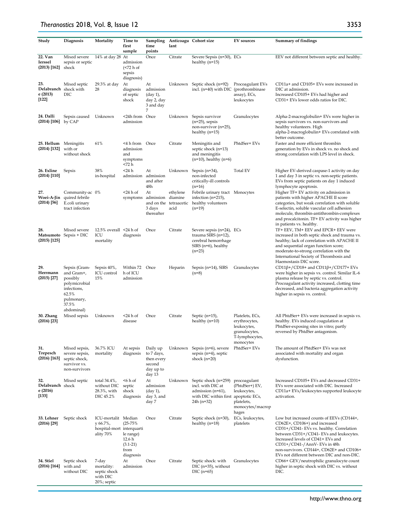#### *Theranostics* 2018, Vol. 8, Issue 12

| Study                                               | Diagnosis                                                                                                             | Mortality                                                                 | Time to<br>first<br>sample                                             | Sampling<br>time<br>points                                                          | lant                                                  | Anticoagu Cohort size                                                                                                   | <b>EV</b> sources                                                                               | <b>Summary of findings</b>                                                                                                                                                                                                                                                                                                       |
|-----------------------------------------------------|-----------------------------------------------------------------------------------------------------------------------|---------------------------------------------------------------------------|------------------------------------------------------------------------|-------------------------------------------------------------------------------------|-------------------------------------------------------|-------------------------------------------------------------------------------------------------------------------------|-------------------------------------------------------------------------------------------------|----------------------------------------------------------------------------------------------------------------------------------------------------------------------------------------------------------------------------------------------------------------------------------------------------------------------------------|
| 22. Van<br><b>Ierssel</b><br>$(2013)$ [162]         | Mixed severe<br>sepsis or septic<br>shock                                                                             | 14% at day 28 At                                                          | admission<br>$\left($ <72 h of<br>sepsis<br>diagnosis)                 | Once                                                                                | Citrate                                               | Severe Sepsis (n=30), ECs<br>healthy $(n=15)$                                                                           |                                                                                                 | EEV not different between septic and healthy.                                                                                                                                                                                                                                                                                    |
| 23.<br>Delabranch shock with<br>e (2013)<br>$[122]$ | Mixed septic<br>DIC                                                                                                   | 29.3% at day<br>28                                                        | At<br>diagnosis<br>of septic<br>shock                                  | At<br>admission<br>$\frac{\text{day } 1}{\text{y}}$<br>day 2, day<br>3 and day<br>7 | Unknown                                               | Septic shock (n=92)<br>incl. (n=40) with DIC (prothrombinase                                                            | Procoagulant EVs<br>assay), ECs,<br>leukocytes                                                  | CD11a+ and CD105+ EVs were increased in<br>DIC at admission.<br>Increased CD105+ EVs had higher and<br>CD31+ EVs lower odds ratios for DIC.                                                                                                                                                                                      |
| 24. Dalli<br>$(2014)$ [106] by CAP                  | Sepsis caused                                                                                                         | Unknown                                                                   | <24h from Once<br>admission                                            |                                                                                     | Unknown                                               | Sepsis survivor<br>$(n=25)$ , sepsis<br>non-survivor (n=25),<br>healthy $(n=15)$                                        | Granulocytes                                                                                    | Alpha-2-macroglobulin+ EVs were higher in<br>sepsis survivors vs. non-survivors and<br>healthy volunteers. High<br>alpha-2-macroglobulin+ EVs correlated with<br>better outcome.                                                                                                                                                 |
| 25. Hellum Meningitis<br>$(2014)$ [132]             | with or<br>without shock                                                                                              | 61%                                                                       | <4 h from Once<br>admission<br>and<br>symptoms<br><72 h                |                                                                                     | Citrate                                               | Meningitis and<br>septic shock (n=13)<br>and meningitis<br>$(n=10)$ , healthy $(n=6)$                                   | PhtdSer+ EVs                                                                                    | Faster and more efficient thrombin<br>generation by EVs in shock vs. no shock and<br>strong correlation with LPS level in shock.                                                                                                                                                                                                 |
| 26. Exline<br>$(2014)$ [110]                        | Sepsis                                                                                                                | 38%<br>in-hospital                                                        | <24 h<br>admission                                                     | At<br>admission<br>and after<br>48h                                                 | Unknown                                               | Sepsis $(n=34)$ ,<br>non-infected<br>critically-ill controls<br>$(n=16)$                                                | <b>Total EV</b>                                                                                 | Higher EV-derived caspase-1 activity on day<br>1 and day 3 in septic vs. non-septic patients.<br>EVs from septic patients on day 1 induced<br>lymphocyte apoptosis.                                                                                                                                                              |
| 27.<br>Woei-A-Jin<br>$(2014)$ [56]                  | Community-ac 0%<br>quired febrile<br>E.coli urinary<br>tract infection                                                |                                                                           | <24 h of<br>symptoms                                                   | At<br>admission<br>3 days<br>thereafter                                             | ethylene<br>diamine<br>and on the tetraacetic<br>acid | Febrile urinary tract Monocytes<br>infection $(n=215)$ ,<br>healthy volunteers<br>$(n=19)$                              |                                                                                                 | Higher TF+ EV activity on admission in<br>patients with higher APACHE II score<br>categories, but weak correlation with soluble<br>E-selectin, soluble vascular cell adhesion<br>molecule, thrombin-antithrombin-complexes<br>and procalcitonin. TF+ EV activity was higher<br>in patients vs. healthy.                          |
| 28.<br>$(2015)$ [125]                               | Mixed severe<br>Matsumoto Sepsis + DIC                                                                                | 12.5% overall $\leq$ 24 h of<br>ICU<br>mortality                          | diagnosis                                                              | Once                                                                                | Citrate                                               | Severe sepsis (n=24), ECs<br>trauma SIRS (n=12),<br>cerebral hemorrhage<br>$SIRS$ (n=6), healthy<br>$(n=23)$            |                                                                                                 | TF+ EEV, TM+ EEV and EPCR+ EEV were<br>increased in both septic shock and trauma vs.<br>healthy; lack of correlation with APACHE II<br>and sequential organ function score;<br>moderate-to-strong correlation with the<br>International Society of Thrombosis and<br>Haemostasis DIC score.                                      |
| 29.<br>Herrmann<br>$(2015)$ [27]                    | Sepsis (Gram-<br>and Gram+,<br>possibly<br>polymicrobial<br>infections,<br>62.5%<br>pulmonary,<br>37.5%<br>abdominal) | Sepsis 40%,<br>ICU control<br>15%                                         | Within 72<br>h of ICU<br>admission                                     | Once                                                                                | Heparin                                               | Sepsis (n=14), SIRS<br>$(n=8)$                                                                                          | Granulocytes                                                                                    | $CD11\beta$ +/CD18+ and CD11 $\beta$ +/CD177+ EVs<br>were higher in sepsis vs. control. Similar IL-6<br>plasma release by septic vs. control.<br>Procoagulant activity increased, clotting time<br>decreased, and bacteria aggregation activity<br>higher in sepsis vs. control.                                                 |
| 30. Zhang<br>$(2016)$ [23]                          | Mixed sepsis                                                                                                          | Unknown                                                                   | <24 h of<br>disease                                                    | Once                                                                                | Citrate                                               | Septic (n=15),<br>healthy $(n=10)$                                                                                      | Platelets, ECs,<br>erythrocytes,<br>leukocytes,<br>granulocytes,<br>T-lymphocytes,<br>monocytes | All PhtdSer+ EVs were increased in sepsis vs.<br>healthy. EVs induced coagulation at<br>PhtdSer-exposing sites in vitro; partly<br>reversed by PhtdSer antagonism.                                                                                                                                                               |
| 31.<br>Trepesch<br>$(2016)$ [163]                   | Mixed sepsis,<br>severe sepsis,<br>septic shock,<br>survivor vs.<br>non-survivors                                     | 36.7% ICU<br>mortality                                                    | At sepsis<br>diagnosis                                                 | Daily up<br>to 7 days,<br>then every<br>second<br>day up to<br>day 13               | Unknown                                               | Sepsis (n=6), severe<br>sepsis $(n=4)$ , septic<br>shock $(n=20)$                                                       | PhtdSer+ EVs                                                                                    | The amount of PhtdSer+ EVs was not<br>associated with mortality and organ<br>dysfunction.                                                                                                                                                                                                                                        |
| 32.<br>Delabranch shock<br>e (2016)<br>$[133]$      | Mixed septic                                                                                                          | total 34.4%,<br>without DIC<br>28.3%, with<br>DIC 45.2%                   | $<$ 6 h of<br>septic<br>shock<br>diagnosis                             | At<br>admission<br>$\frac{\text{day } 1}{\text{y}}$<br>day 3, and<br>day 7          | Unknown                                               | Septic shock (n=259)<br>incl. with DIC at<br>admission $(n=61)$ ,<br>with DIC within first apoptotic ECs,<br>24h (n=32) | procoagulant<br>(PhtdSer+) EV,<br>leukocytes,<br>platelets,<br>monocytes/macrop<br>hages        | Increased CD105+ EVs and decreased CD31+<br>EVs were associated with DIC. Increased<br>CD11a+ EVs/leukocytes supported leukocyte<br>activation.                                                                                                                                                                                  |
| 33. Lehner<br>$(2016)$ [29]                         | Septic shock                                                                                                          | ICU-mortalit Median<br>y 66.7%,<br>hospital-mort interquarti<br>ality 70% | $(25 - 75%)$<br>le range)<br>12.6 h<br>$(3.1-21)$<br>from<br>diagnosis | Once                                                                                | Citrate                                               | Septic shock (n=30),<br>healthy $(n=18)$                                                                                | ECs, leukocytes,<br>platelets                                                                   | Low but increased counts of EEVs (CD144+,<br>CD62E+, CD106+) and increased<br>CD31+/CD41- EVs vs. healthy. Correlation<br>between CD31+/CD41- EVs and leukocytes.<br>Increased levels of CD41+ EVs and<br>CD31+/CD41-/AnnV- EVs in 48h<br>non-survivors. CD144+, CD62E+ and CD106+<br>EVs not different between DIC and non-DIC. |
| 34. Stiel<br>$(2016)$ [164]                         | Septic shock<br>with and<br>without DIC                                                                               | 7-day<br>mortality:<br>septic shock<br>with DIC<br>20%; septic            | At<br>admission                                                        | Once                                                                                | Citrate                                               | Septic shock: with<br>$DIC (n=35)$ , without<br>$DIC(n=65)$                                                             | Granulocytes                                                                                    | CD66+ GEV/neutrophilic granulocyte count<br>higher in septic shock with DIC vs. without<br>DIC.                                                                                                                                                                                                                                  |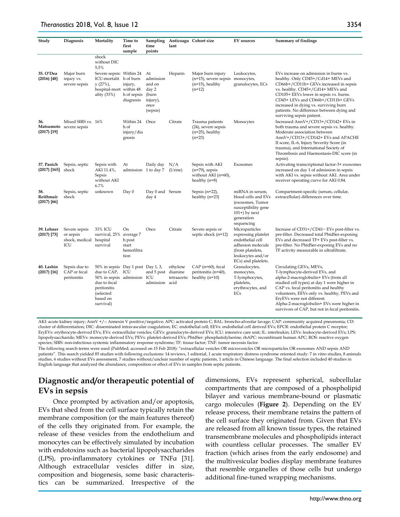| Study                             | Diagnosis                                                    | Mortality                                                                                                                                             | Time to<br>first<br>sample                               | Sampling<br>time<br>points                                                  | lant                    | Anticoagu Cohort size                                                                      | <b>EV</b> sources                                                                                                                              | <b>Summary of findings</b>                                                                                                                                                                                                                                                                                                                                            |
|-----------------------------------|--------------------------------------------------------------|-------------------------------------------------------------------------------------------------------------------------------------------------------|----------------------------------------------------------|-----------------------------------------------------------------------------|-------------------------|--------------------------------------------------------------------------------------------|------------------------------------------------------------------------------------------------------------------------------------------------|-----------------------------------------------------------------------------------------------------------------------------------------------------------------------------------------------------------------------------------------------------------------------------------------------------------------------------------------------------------------------|
|                                   |                                                              | shock<br>without DIC<br>5,5%                                                                                                                          |                                                          |                                                                             |                         |                                                                                            |                                                                                                                                                |                                                                                                                                                                                                                                                                                                                                                                       |
| 35. O'Dea<br>$(2016)$ [48]        | Major burn<br>injury vs.<br>severe sepsis                    | Severe sepsis: Within 24<br>ICU-mortalit h of burn<br>$y(27\%)$<br>hospital-mort within 48<br>ality (33%)                                             | injury,<br>h of sepsis<br>diagnosis                      | At<br>admission<br>and on<br>day 2<br>(burn<br>injury),<br>once<br>(sepsis) | Heparin                 | Major burn injury<br>$(n=15)$ , severe sepsis monocytes,<br>$(n=15)$ , healthy<br>$(n=12)$ | Leukocytes,<br>granulocytes, ECs                                                                                                               | EVs increase on admission in burns vs.<br>healthy. Only CD45+/Cd14+ MEVs and<br>CD66b+/CD11b+ GEVs increased in sepsis<br>vs. healthy. CD45+/Cd14+ MEVs and<br>CD105+ EEVs lower in sepsis vs. burns.<br>CD45+ LEVs and CD66b+/CD11b+ GEVs<br>increased in dying vs. surviving burn<br>patients. No difference between dying and<br>surviving sepsis patient.         |
| 36.<br>$(2017)$ [19]              | Mixed SIRS vs. 16%<br>Matsumoto severe sepsis                |                                                                                                                                                       | Within 24<br>h of<br>injury/dia<br>gnosis                | Once                                                                        | Citrate                 | Trauma patients<br>$(24)$ , severe sepsis<br>$(n=25)$ , healthy<br>$(n=23)$                | Monocytes                                                                                                                                      | Increased AnnV+/CD13+/CD142+ EVs in<br>both trauma and severe sepsis vs. healthy.<br>Moderate association between<br>AnnV+/CD13+/CD142+ EVs and APACHE<br>II score, IL-6, Injury Severity Score (in<br>trauma), and International Society of<br>Thrombosis and Haemostasis-DIC score (in<br>sepsis).                                                                  |
| 37. Panich<br>$(2017)$ [165]      | Sepsis, septic<br>shock                                      | Sepsis with<br>AKI 11.4%,<br>Sepsis<br>without AKI<br>6.7%                                                                                            | At<br>admission 1 to day 7                               | Daily day                                                                   | N/A<br>(Urine)          | Sepsis with AKI<br>$(n=79)$ , sepsis<br>without AKI (n=60),<br>healthy $(n=8)$             | Exosomes                                                                                                                                       | Activating transcriptional factor-3+ exosomes<br>increased on day 1 of admission in sepsis<br>with AKI vs. sepsis without AKI. Area under<br>receiver operating curve for AKI 0.84.                                                                                                                                                                                   |
| 38.<br>Reithmair<br>$(2017)$ [66] | Sepsis, septic<br>shock                                      | unknown                                                                                                                                               | Day 0                                                    | Day 0 and Serum<br>day 4                                                    |                         | Sepsis $(n=22)$ ,<br>healthy $(n=23)$                                                      | miRNA in serum,<br>blood cells and EVs<br>(exosomes, Tumor<br>susceptibility gene<br>$101+)$ by next<br>generation<br>sequencing               | Compartment-specific (serum, cellular,<br>extracellular) differences over time.                                                                                                                                                                                                                                                                                       |
| 39. Lehner<br>$(2017)$ [73]       | Severe sepsis<br>or sepsis<br>shock, medical hospital<br>ICU | 33% ICU<br>survival, 25%<br>survival                                                                                                                  | On<br>average 7<br>h post<br>start<br>hemofiltra<br>tion | Once                                                                        | Citrate                 | Severe sepsis or<br>septic shock (n=12)                                                    | Microparticles<br>expressing platelet<br>endothelial cell<br>adhesion molecule<br>(from platelets,<br>leukocytes and/or<br>ECs) and platelets. | Increase of CD31+/CD41- EVs post-filter vs.<br>pre-filter. Decreased total PhtdSer-exposing<br>EVs and decreased TF+ EVs post-filter vs.<br>pre-filter. No PhtdSer-exposing EVs and no<br>TF activity measurable in ultrafiltrate.                                                                                                                                    |
| 40. Lashin<br>$(2017)$ [16]       | Sepsis due to<br>CAP or fecal<br>peritonitis                 | 50% in sepsis Day 1 post Day 1, 3,<br>due to CAP,<br>50% in sepsis admission ICU<br>due to fecal<br>peritonitis<br>(selected<br>based on<br>survival) | ICU                                                      | and 5 post diamine<br>admission acid                                        | ethylene<br>tetraacetic | CAP (n=60), fecal<br>peritonitis (n=40),<br>healthy $(n=10)$                               | Granulocytes,<br>monocytes,<br>T-lymphocytes,<br>platelets,<br>erythrocytes, and<br>ECs                                                        | Circulating GEVs, MEVs,<br>T-lymphocyte-derived EVs, and<br>alpha-2-macroglobulin+ EVs (from all<br>studied cell types) at day 1 were higher in<br>CAP vs. fecal peritonitis and healthy<br>volunteers, EEVs only vs. healthy, PEVs and<br>EryEVs were not different.<br>Alpha-2-macroglobulin+ EVs were higher in<br>survivors of CAP, but not in fecal peritonitis. |

AKI: acute kidney injury; AnnV +/-: Annexin V positive/negative; APC: activated protein C; BAL: broncho-alveolar lavage; CAP: community acquired pneumonia; CD: cluster of differentiation; DIC: disseminated intravascular coagulation; EC: endothelial cell; EEVs: endothelial cell derived EVs; EPCR: endothelial protein C receptor; EryEVs: erythrocyte-derived EVs; EVs: extracellular vesicles; GEVs: granulocyte-derived EVs; ICU: intensive care unit; IL: interleukin; LEVs: leukocyte-derived EVs; LPS: lipopolysaccharide; MEVs: monocyte-derived EVs; PEVs: platelet-derived EVs; PhtdSer: phosphatidylserine; rhAPC: recombinant human APC; ROS: reactive oxygen species; SIRS: non-infectious systemic inflammatory response syndrome; TF: tissue factor; TNF: tumor necrosis factor.

The following search terms were used (PubMed; accessed on 15 Feb 2018): "extracellular vesicles OR microvesicles OR microparticles OR exosomes AND sepsis AND patients". This search yielded 85 studies with following exclusions: 14 reviews, 1 editorial, 1 acute respiratory distress syndrome oriented study: 7 in vitro studies, 8 animals studies, 6 studies without EVs assessment, 7 studies without/unclear number of septic patients, 1 article in Chinese language. The final selection included 40 studies in English language that analyzed the abundance, composition or effect of EVs in samples from septic patients.

# **Diagnostic and/or therapeutic potential of EVs in sepsis**

Once prompted by activation and/or apoptosis, EVs that shed from the cell surface typically retain the membrane composition (or the main features thereof) of the cells they originated from. For example, the release of these vesicles from the endothelium and monocytes can be effectively simulated by incubation with endotoxins such as bacterial lipopolysaccharides (LPS), pro-inflammatory cytokines or TNFα [31]. Although extracellular vesicles differ in size, composition and biogenesis, some basic characteristics can be summarized. Irrespective of the dimensions, EVs represent spherical, subcellular compartments that are composed of a phospholipid bilayer and various membrane-bound or plasmatic cargo molecules (**Figure 2**). Depending on the EV release process, their membrane retains the pattern of the cell surface they originated from. Given that EVs are released from all known tissue types, the retained transmembrane molecules and phospholipids interact with countless cellular processes. The smaller EV fraction (which arises from the early endosome) and the multivesicular bodies display membrane features that resemble organelles of those cells but undergo additional fine-tuned wrapping mechanisms.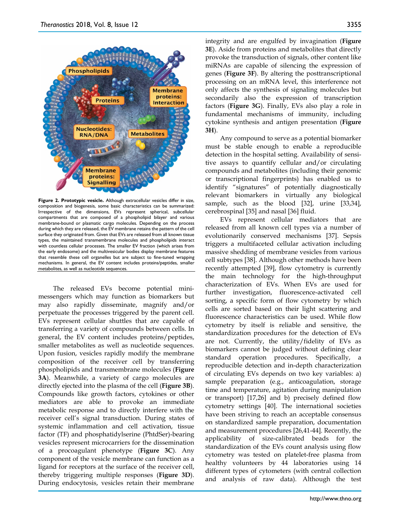

**Figure 2. Prototypic vesicle.** Although extracellular vesicles differ in size, composition and biogenesis, some basic characteristics can be summarized: Irrespective of the dimensions, EVs represent spherical, subcellular compartments that are composed of a phospholipid bilayer and various membrane-bound or plasmatic cargo molecules. Depending on the process during which they are released, the EV membrane retains the pattern of the cell surface they originated from. Given that EVs are released from all known tissue types, the maintained transmembrane molecules and phospholipids interact with countless cellular processes. The smaller EV fraction (which arises from the early endosome) and the multivesicular bodies display membrane features that resemble these cell organelles but are subject to fine-tuned wrapping mechanisms. In general, the EV content includes proteins/peptides, smaller metabolites, as well as nucleotide sequences.

The released EVs become potential minimessengers which may function as biomarkers but may also rapidly disseminate, magnify and/or perpetuate the processes triggered by the parent cell. EVs represent cellular shuttles that are capable of transferring a variety of compounds between cells. In general, the EV content includes proteins/peptides, smaller metabolites as well as nucleotide sequences. Upon fusion, vesicles rapidly modify the membrane composition of the receiver cell by transferring phospholipids and transmembrane molecules (**Figure 3A**). Meanwhile, a variety of cargo molecules are directly ejected into the plasma of the cell (**Figure 3B**). Compounds like growth factors, cytokines or other mediators are able to provoke an immediate metabolic response and to directly interfere with the receiver cell's signal transduction. During states of systemic inflammation and cell activation, tissue factor (TF) and phosphatidylserine (PhtdSer)-bearing vesicles represent microcarriers for the dissemination of a procoagulant phenotype (**Figure 3C**). Any component of the vesicle membrane can function as a ligand for receptors at the surface of the receiver cell, thereby triggering multiple responses (**Figure 3D**). During endocytosis, vesicles retain their membrane

integrity and are engulfed by invagination (**Figure 3E**). Aside from proteins and metabolites that directly provoke the transduction of signals, other content like miRNAs are capable of silencing the expression of genes (**Figure 3F**). By altering the posttranscriptional processing on an mRNA level, this interference not only affects the synthesis of signaling molecules but secondarily also the expression of transcription factors (**Figure 3G**). Finally, EVs also play a role in fundamental mechanisms of immunity, including cytokine synthesis and antigen presentation (**Figure 3H**).

Any compound to serve as a potential biomarker must be stable enough to enable a reproducible detection in the hospital setting. Availability of sensitive assays to quantify cellular and/or circulating compounds and metabolites (including their genomic or transcriptional fingerprints) has enabled us to identify "signatures" of potentially diagnostically relevant biomarkers in virtually any biological sample, such as the blood [32], urine [33,34], cerebrospinal [35] and nasal [36] fluid.

EVs represent cellular mediators that are released from all known cell types via a number of evolutionarily conserved mechanisms [37]. Sepsis triggers a multifaceted cellular activation including massive shedding of membrane vesicles from various cell subtypes [38]. Although other methods have been recently attempted [39], flow cytometry is currently the main technology for the high-throughput characterization of EVs. When EVs are used for further investigation, fluorescence-activated cell sorting, a specific form of flow cytometry by which cells are sorted based on their light scattering and fluorescence characteristics can be used. While flow cytometry by itself is reliable and sensitive, the standardization procedures for the detection of EVs are not. Currently, the utility/fidelity of EVs as biomarkers cannot be judged without defining clear standard operation procedures. Specifically, a reproducible detection and in-depth characterization of circulating EVs depends on two key variables: a) sample preparation (e.g., anticoagulation, storage time and temperature, agitation during manipulation or transport) [17,26] and b) precisely defined flow cytometry settings [40]. The international societies have been striving to reach an acceptable consensus on standardized sample preparation, documentation and measurement procedures [26,41-44]. Recently, the applicability of size-calibrated beads for the standardization of the EVs count analysis using flow cytometry was tested on platelet-free plasma from healthy volunteers by 44 laboratories using 14 different types of cytometers (with central collection and analysis of raw data). Although the test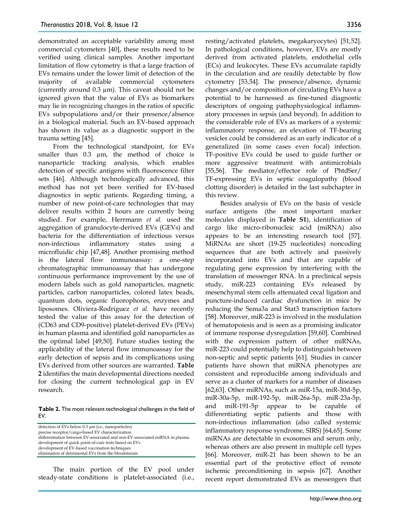demonstrated an acceptable variability among most commercial cytometers [40], these results need to be verified using clinical samples. Another important limitation of flow cytometry is that a large fraction of EVs remains under the lower limit of detection of the majority of available commercial cytometers (currently around  $0.3 \mu m$ ). This caveat should not be ignored given that the value of EVs as biomarkers may lie in recognizing changes in the ratios of specific EVs subpopulations and/or their presence/absence in a biological material. Such an EV-based approach has shown its value as a diagnostic support in the trauma setting [45].

From the technological standpoint, for EVs smaller than 0.3  $\mu$ m, the method of choice is nanoparticle tracking analysis, which enables detection of specific antigens with fluorescence filter sets [46]. Although technologically advanced, this method has not yet been verified for EV-based diagnostics in septic patients. Regarding timing, a number of new point-of-care technologies that may deliver results within 2 hours are currently being studied. For example, Herrmann *et al.* used the aggregation of granulocyte-derived EVs (GEVs) and bacteria for the differentiation of infectious versus non-infectious inflammatory states using microfluidic chip [47,48]. Another promising method is the lateral flow immunoassay: a one-step chromatographic immunoassay that has undergone continuous performance improvement by the use of modern labels such as gold nanoparticles, magnetic particles, carbon nanoparticles, colored latex beads, quantum dots, organic fluorophores, enzymes and liposomes. Oliviera-Rodriguez *et al.* have recently tested the value of this assay for the detection of (CD63 and CD9-positive) platelet-derived EVs (PEVs) in human plasma and identified gold nanoparticles as the optimal label [49,50]. Future studies testing the applicability of the lateral flow immunoassay for the early detection of sepsis and its complications using EVs derived from other sources are warranted. **Table 2** identifies the main developmental directions needed for closing the current technological gap in EV research.

**Table 2.** The most relevant technological challenges in the field of EV.

detection of EVs below 0.3 µm (i.e., nanoparticles) precise receptor/cargo-based EV characterization differentiation between EV-associated and non-EV-associated miRNA in plasma development of quick point-of-care tests based on EVs development of EV-based vaccination techniques elimination of detrimental EVs from the bloodstream

The main portion of the EV pool under steady-state conditions is platelet-associated (i.e., resting/activated platelets, megakaryocytes) [51,52]. In pathological conditions, however, EVs are mostly derived from activated platelets, endothelial cells (ECs) and leukocytes. These EVs accumulate rapidly in the circulation and are readily detectable by flow cytometry [53,54]. The presence/absence, dynamic changes and/or composition of circulating EVs have a potential to be harnessed as fine-tuned diagnostic descriptors of ongoing pathophysiological inflammatory processes in sepsis (and beyond). In addition to the considerable role of EVs as markers of a systemic inflammatory response, an elevation of TF-bearing vesicles could be considered as an early indicator of a generalized (in some cases even focal) infection. TF-positive EVs could be used to guide further or more aggressive treatment with antimicrobials [55,56]. The mediator/effector role of PhtdSer/ TF-expressing EVs in septic coagulopathy (blood clotting disorder) is detailed in the last subchapter in this review.

Besides analysis of EVs on the basis of vesicle surface antigens (the most important marker molecules displayed in **Table S1**), identification of cargo like micro-ribonucleic acid (miRNA) also appears to be an interesting research tool [57]. MiRNAs are short (19-25 nucleotides) noncoding sequences that are both actively and passively incorporated into EVs and that are capable of regulating gene expression by interfering with the translation of messenger RNA. In a preclinical sepsis study, miR-223 containing EVs released by mesenchymal stem cells attenuated cecal ligation and puncture-induced cardiac dysfunction in mice by reducing the Sema3a and Stat3 transcription factors [58]. Moreover, miR-223 is involved in the modulation of hematopoiesis and is seen as a promising indicator of immune response dysregulation [59,60]. Combined with the expression pattern of other miRNAs, miR-223 could potentially help to distinguish between non-septic and septic patients [61]. Studies in cancer patients have shown that miRNA phenotypes are consistent and reproducible among individuals and serve as a cluster of markers for a number of diseases [62,63]. Other miRNAs, such as miR-15a, miR-30d-5p, miR-30a-5p, miR-192-5p, miR-26a-5p, miR-23a-5p, and miR-191-5p appear to be capable of differentiating septic patients and those with non-infectious inflammation (also called systemic inflammatory response syndrome, SIRS) [64,65]. Some miRNAs are detectable in exosomes and serum only, whereas others are also present in multiple cell types [66]. Moreover, miR-21 has been shown to be an essential part of the protective effect of remote ischemic preconditioning in sepsis [67]. Another recent report demonstrated EVs as messengers that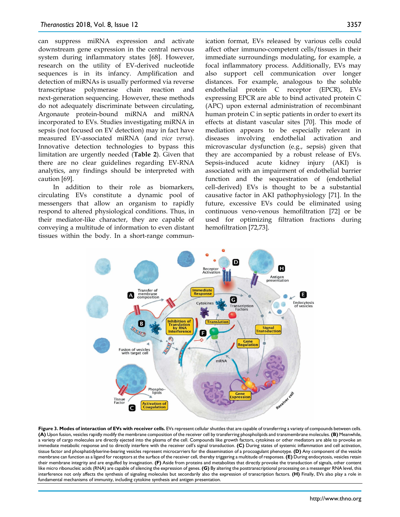can suppress miRNA expression and activate downstream gene expression in the central nervous system during inflammatory states [68]. However, research on the utility of EV-derived nucleotide sequences is in its infancy. Amplification and detection of miRNAs is usually performed via reverse transcriptase polymerase chain reaction and next-generation sequencing. However, these methods do not adequately discriminate between circulating, Argonaute protein-bound miRNA and miRNA incorporated to EVs. Studies investigating miRNA in sepsis (not focused on EV detection) may in fact have measured EV-associated miRNA (and *vice versa*). Innovative detection technologies to bypass this limitation are urgently needed (**Table 2**). Given that there are no clear guidelines regarding EV-RNA analytics, any findings should be interpreted with caution [69].

In addition to their role as biomarkers, circulating EVs constitute a dynamic pool of messengers that allow an organism to rapidly respond to altered physiological conditions. Thus, in their mediator-like character, they are capable of conveying a multitude of information to even distant tissues within the body. In a short-range communication format, EVs released by various cells could affect other immuno-competent cells/tissues in their immediate surroundings modulating, for example, a focal inflammatory process. Additionally, EVs may also support cell communication over longer distances. For example, analogous to the soluble endothelial protein C receptor (EPCR), EVs expressing EPCR are able to bind activated protein C (APC) upon external administration of recombinant human protein C in septic patients in order to exert its effects at distant vascular sites [70]. This mode of mediation appears to be especially relevant in diseases involving endothelial activation and microvascular dysfunction (e.g., sepsis) given that they are accompanied by a robust release of EVs. Sepsis-induced acute kidney injury (AKI) is associated with an impairment of endothelial barrier function and the sequestration of (endothelial cell-derived) EVs is thought to be a substantial causative factor in AKI pathophysiology [71]. In the future, excessive EVs could be eliminated using continuous veno-venous hemofiltration [72] or be used for optimizing filtration fractions during hemofiltration [72,73].



Figure 3. Modes of interaction of EVs with receiver cells. EVs represent cellular shuttles that are capable of transferring a variety of compounds between cells. **(A)** Upon fusion, vesicles rapidly modify the membrane composition of the receiver cell by transferring phospholipids and transmembrane molecules. **(B)** Meanwhile, a variety of cargo molecules are directly ejected into the plasma of the cell. Compounds like growth factors, cytokines or other mediators are able to provoke an immediate metabolic response and to directly interfere with the receiver cell's signal transduction. **(C)** During states of systemic inflammation and cell activation, tissue factor and phosphatidylserine-bearing vesicles represent microcarriers for the dissemination of a procoagulant phenotype. **(D)** Any component of the vesicle membrane can function as a ligand for receptors at the surface of the receiver cell, thereby triggering a multitude of responses. **(E)** During endocytosis, vesicles retain their membrane integrity and are engulfed by invagination. **(F)** Aside from proteins and metabolites that directly provoke the transduction of signals, other content like micro ribonucleic acids (RNA) are capable of silencing the expression of genes. **(G)** By altering the posttranscriptional processing on a messenger RNA level, this interference not only affects the synthesis of signaling molecules but secondarily also the expression of transcription factors. **(H)** Finally, EVs also play a role in fundamental mechanisms of immunity, including cytokine synthesis and antigen presentation.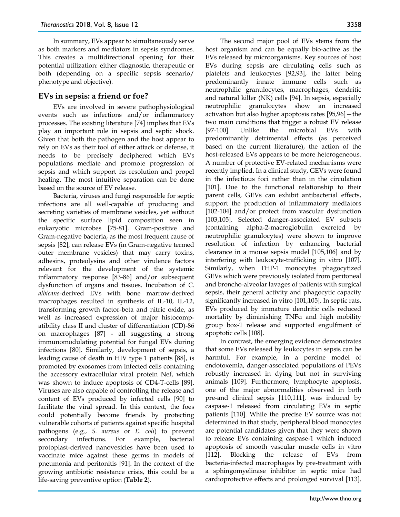In summary, EVs appear to simultaneously serve as both markers and mediators in sepsis syndromes. This creates a multidirectional opening for their potential utilization: either diagnostic, therapeutic or both (depending on a specific sepsis scenario/ phenotype and objective).

## **EVs in sepsis: a friend or foe?**

EVs are involved in severe pathophysiological events such as infections and/or inflammatory processes. The existing literature [74] implies that EVs play an important role in sepsis and septic shock. Given that both the pathogen and the host appear to rely on EVs as their tool of either attack or defense, it needs to be precisely deciphered which EVs populations mediate and promote progression of sepsis and which support its resolution and propel healing. The most intuitive separation can be done based on the source of EV release.

Bacteria, viruses and fungi responsible for septic infections are all well-capable of producing and secreting varieties of membrane vesicles, yet without the specific surface lipid composition seen in eukaryotic microbes [75-81]. Gram-positive and Gram-negative bacteria, as the most frequent cause of sepsis [82], can release EVs (in Gram-negative termed outer membrane vesicles) that may carry toxins, adhesins, proteolysins and other virulence factors relevant for the development of the systemic inflammatory response [83-86] and/or subsequent dysfunction of organs and tissues. Incubation of *C. albicans*-derived EVs with bone marrow-derived macrophages resulted in synthesis of IL-10, IL-12, transforming growth factor-beta and nitric oxide, as well as increased expression of major histocompatibility class II and cluster of differentiation (CD)-86 on macrophages [87] - all suggesting a strong immunomodulating potential for fungal EVs during infections [80]. Similarly, development of sepsis, a leading cause of death in HIV type 1 patients [88], is promoted by exosomes from infected cells containing the accessory extracellular viral protein Nef, which was shown to induce apoptosis of CD4-T-cells [89]. Viruses are also capable of controlling the release and content of EVs produced by infected cells [90] to facilitate the viral spread. In this context, the foes could potentially become friends by protecting vulnerable cohorts of patients against specific hospital pathogens (e.g., *S. aureus* or *E. coli*) to prevent secondary infections. For example, bacterial protoplast-derived nanovesicles have been used to vaccinate mice against these germs in models of pneumonia and peritonitis [91]. In the context of the growing antibiotic resistance crisis, this could be a life-saving preventive option (**Table 2**).

The second major pool of EVs stems from the host organism and can be equally bio-active as the EVs released by microorganisms. Key sources of host EVs during sepsis are circulating cells such as platelets and leukocytes [92,93], the latter being predominantly innate immune cells such as neutrophilic granulocytes, macrophages, dendritic and natural killer (NK) cells [94]. In sepsis, especially neutrophilic granulocytes show an increased activation but also higher apoptosis rates [95,96]—the two main conditions that trigger a robust EV release [97-100]. Unlike the microbial EVs with predominantly detrimental effects (as perceived based on the current literature), the action of the host-released EVs appears to be more heterogeneous. A number of protective EV-related mechanisms were recently implied. In a clinical study, GEVs were found in the infectious foci rather than in the circulation [101]. Due to the functional relationship to their parent cells, GEVs can exhibit antibacterial effects, support the production of inflammatory mediators [102-104] and/or protect from vascular dysfunction [103,105]. Selected danger-associated EV subsets (containing alpha-2-macroglobulin excreted by neutrophilic granulocytes) were shown to improve resolution of infection by enhancing bacterial clearance in a mouse sepsis model [105,106] and by interfering with leukocyte-trafficking in vitro [107]. Similarly, when THP-1 monocytes phagocytized GEVs which were previously isolated from peritoneal and broncho-alveolar lavages of patients with surgical sepsis, their general activity and phagocytic capacity significantly increased in vitro [101,105]. In septic rats, EVs produced by immature dendritic cells reduced mortality by diminishing TNFα and high mobility group box-1 release and supported engulfment of apoptotic cells [108].

In contrast, the emerging evidence demonstrates that some EVs released by leukocytes in sepsis can be harmful. For example, in a porcine model of endotoxemia, danger-associated populations of PEVs robustly increased in dying but not in surviving animals [109]. Furthermore, lymphocyte apoptosis, one of the major abnormalities observed in both pre-and clinical sepsis [110,111], was induced by caspase-1 released from circulating EVs in septic patients [110]. While the precise EV source was not determined in that study, peripheral blood monocytes are potential candidates given that they were shown to release EVs containing caspase-1 which induced apoptosis of smooth vascular muscle cells in vitro [112]. Blocking the release of EVs from bacteria-infected macrophages by pre-treatment with a sphingomyelinase inhibitor in septic mice had cardioprotective effects and prolonged survival [113].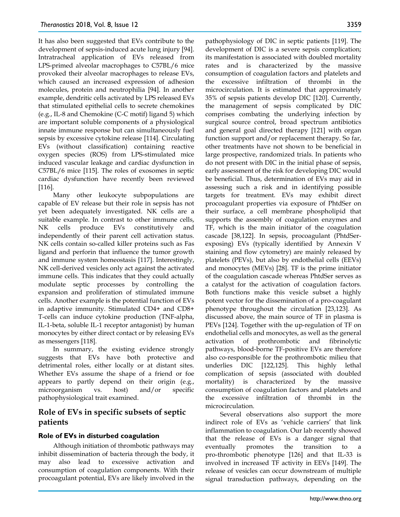It has also been suggested that EVs contribute to the development of sepsis-induced acute lung injury [94]. Intratracheal application of EVs released from LPS-primed alveolar macrophages to C57BL/6 mice provoked their alveolar macrophages to release EVs, which caused an increased expression of adhesion molecules, protein and neutrophilia [94]. In another example, dendritic cells activated by LPS released EVs that stimulated epithelial cells to secrete chemokines (e.g., IL-8 and Chemokine (C-C motif) ligand 5) which are important soluble components of a physiological innate immune response but can simultaneously fuel sepsis by excessive cytokine release [114]. Circulating EVs (without classification) containing reactive oxygen species (ROS) from LPS-stimulated mice induced vascular leakage and cardiac dysfunction in C57BL/6 mice [115]. The roles of exosomes in septic cardiac dysfunction have recently been reviewed [116].

Many other leukocyte subpopulations are capable of EV release but their role in sepsis has not yet been adequately investigated. NK cells are a suitable example. In contrast to other immune cells, NK cells produce EVs constitutively and independently of their parent cell activation status. NK cells contain so-called killer proteins such as Fas ligand and perforin that influence the tumor growth and immune system homeostasis [117]. Interestingly, NK cell-derived vesicles only act against the activated immune cells. This indicates that they could actually modulate septic processes by controlling the expansion and proliferation of stimulated immune cells. Another example is the potential function of EVs in adaptive immunity. Stimulated CD4+ and CD8+ T-cells can induce cytokine production (TNF-alpha, IL-1-beta, soluble IL-1 receptor antagonist) by human monocytes by either direct contact or by releasing EVs as messengers [118].

In summary, the existing evidence strongly suggests that EVs have both protective and detrimental roles, either locally or at distant sites. Whether EVs assume the shape of a friend or foe appears to partly depend on their origin (e.g., microorganism vs. host) and/or specific pathophysiological trait examined.

## **Role of EVs in specific subsets of septic patients**

### **Role of EVs in disturbed coagulation**

Although initiation of thrombotic pathways may inhibit dissemination of bacteria through the body, it may also lead to excessive activation and consumption of coagulation components. With their procoagulant potential, EVs are likely involved in the

pathophysiology of DIC in septic patients [119]. The development of DIC is a severe sepsis complication; its manifestation is associated with doubled mortality rates and is characterized by the massive consumption of coagulation factors and platelets and the excessive infiltration of thrombi in the microcirculation. It is estimated that approximately 35% of sepsis patients develop DIC [120]. Currently, the management of sepsis complicated by DIC comprises combating the underlying infection by surgical source control, broad spectrum antibiotics and general goal directed therapy [121] with organ function support and/or replacement therapy. So far, other treatments have not shown to be beneficial in large prospective, randomized trials. In patients who do not present with DIC in the initial phase of sepsis, early assessment of the risk for developing DIC would be beneficial. Thus, determination of EVs may aid in assessing such a risk and in identifying possible targets for treatment. EVs may exhibit direct procoagulant properties via exposure of PhtdSer on their surface, a cell membrane phospholipid that supports the assembly of coagulation enzymes and TF, which is the main initiator of the coagulation cascade [38,122]. In sepsis, procoagulant (PhtdSerexposing) EVs (typically identified by Annexin V staining and flow cytometry) are mainly released by platelets (PEVs), but also by endothelial cells (EEVs) and monocytes (MEVs) [28]. TF is the prime initiator of the coagulation cascade whereas PhtdSer serves as a catalyst for the activation of coagulation factors. Both functions make this vesicle subset a highly potent vector for the dissemination of a pro-coagulant phenotype throughout the circulation [23,123]. As discussed above, the main source of TF in plasma is PEVs [124]. Together with the up-regulation of TF on endothelial cells and monocytes, as well as the general activation of prothrombotic and fibrinolytic pathways, blood-borne TF-positive EVs are therefore also co-responsible for the prothrombotic milieu that underlies DIC [122,125]. This highly lethal complication of sepsis (associated with doubled mortality) is characterized by the massive consumption of coagulation factors and platelets and the excessive infiltration of thrombi in the microcirculation.

Several observations also support the more indirect role of EVs as 'vehicle carriers' that link inflammation to coagulation. Our lab recently showed that the release of EVs is a danger signal that eventually promotes the transition to a pro-thrombotic phenotype [126] and that IL-33 is involved in increased TF activity in EEVs [149]. The release of vesicles can occur downstream of multiple signal transduction pathways, depending on the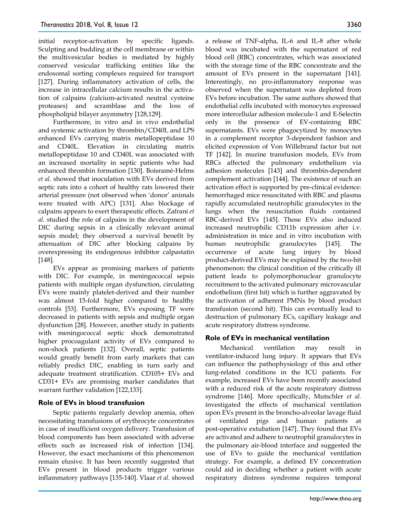initial receptor-activation by specific ligands. Sculpting and budding at the cell membrane or within the multivesicular bodies is mediated by highly conserved vesicular trafficking entities like the endosomal sorting complexes required for transport [127]. During inflammatory activation of cells, the increase in intracellular calcium results in the activation of calpains (calcium-activated neutral cysteine proteases) and scramblase and the loss of phospholipid bilayer asymmetry [128,129].

Furthermore, in vitro and in vivo endothelial and systemic activation by thrombin/CD40L and LPS enhanced EVs carrying matrix metallopeptidase 10 and CD40L. Elevation in circulating matrix metallopeptidase 10 and CD40L was associated with an increased mortality in septic patients who had enhanced thrombin formation [130]. Boisramé-Helms *et al.* showed that inoculation with EVs derived from septic rats into a cohort of healthy rats lowered their arterial pressure (not observed when 'donor' animals were treated with APC) [131]. Also blockage of calpains appears to exert therapeutic effects. Zafrani *et al.* studied the role of calpains in the development of DIC during sepsis in a clinically relevant animal sepsis model; they observed a survival benefit by attenuation of DIC after blocking calpains by overexpressing its endogenous inhibitor calpastatin [148].

EVs appear as promising markers of patients with DIC. For example, in meningococcal sepsis patients with multiple organ dysfunction, circulating EVs were mainly platelet-derived and their number was almost 15-fold higher compared to healthy controls [53]. Furthermore, EVs exposing TF were decreased in patients with sepsis and multiple organ dysfunction [28]. However, another study in patients with meningococcal septic shock demonstrated higher procoagulant activity of EVs compared to non-shock patients [132]. Overall, septic patients would greatly benefit from early markers that can reliably predict DIC, enabling in turn early and adequate treatment stratification. CD105+ EVs and CD31+ EVs are promising marker candidates that warrant further validation [122,133].

## **Role of EVs in blood transfusion**

Septic patients regularly develop anemia, often necessitating transfusions of erythrocyte concentrates in case of insufficient oxygen delivery. Transfusion of blood components has been associated with adverse effects such as increased risk of infection [134]. However, the exact mechanisms of this phenomenon remain elusive. It has been recently suggested that EVs present in blood products trigger various inflammatory pathways [135-140]. Vlaar *et al.* showed

a release of TNF-alpha, IL-6 and IL-8 after whole blood was incubated with the supernatant of red blood cell (RBC) concentrates, which was associated with the storage time of the RBC concentrate and the amount of EVs present in the supernatant [141]. Interestingly, no pro-inflammatory response was observed when the supernatant was depleted from EVs before incubation. The same authors showed that endothelial cells incubated with monocytes expressed more intercellular adhesion molecule-1 and E-Selectin only in the presence of EV-containing RBC supernatants. EVs were phagocytized by monocytes in a complement receptor 3-dependent fashion and elicited expression of Von Willebrand factor but not TF [142]. In murine transfusion models, EVs from RBCs affected the pulmonary endothelium via adhesion molecules [143] and thrombin-dependent complement activation [144]. The existence of such an activation effect is supported by pre-clinical evidence: hemorrhaged mice resuscitated with RBC and plasma rapidly accumulated neutrophilic granulocytes in the lungs when the resuscitation fluids contained RBC-derived EVs [145]. Those EVs also induced increased neutrophilic CD11b expression after i.v. administration in mice and in vitro incubation with human neutrophilic granulocytes [145]. The occurrence of acute lung injury by blood product-derived EVs may be explained by the two-hit phenomenon: the clinical condition of the critically ill patient leads to polymorphonuclear granulocyte recruitment to the activated pulmonary microvascular endothelium (first hit) which is further aggravated by the activation of adherent PMNs by blood product transfusion (second hit). This can eventually lead to destruction of pulmonary ECs, capillary leakage and acute respiratory distress syndrome.

## **Role of EVs in mechanical ventilation**

Mechanical ventilation may result in ventilator-induced lung injury. It appears that EVs can influence the pathophysiology of this and other lung-related conditions in the ICU patients. For example, increased EVs have been recently associated with a reduced risk of the acute respiratory distress syndrome [146]. More specifically, Mutschler *et al.* investigated the effects of mechanical ventilation upon EVs present in the broncho-alveolar lavage fluid of ventilated pigs and human patients at post-operative extubation [147]. They found that EVs are activated and adhere to neutrophil granulocytes in the pulmonary air-blood interface and suggested the use of EVs to guide the mechanical ventilation strategy. For example, a defined EV concentration could aid in deciding whether a patient with acute respiratory distress syndrome requires temporal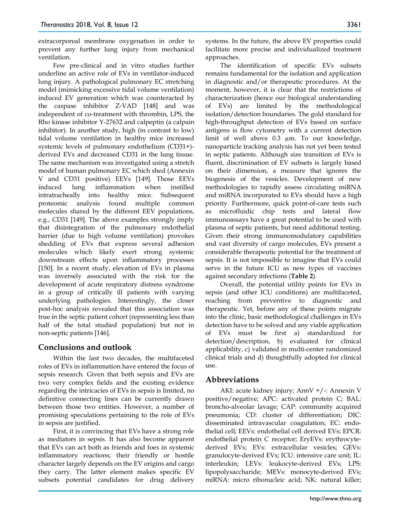extracorporeal membrane oxygenation in order to prevent any further lung injury from mechanical ventilation.

Few pre-clinical and in vitro studies further underline an active role of EVs in ventilator-induced lung injury. A pathological pulmonary EC stretching model (mimicking excessive tidal volume ventilation) induced EV generation which was counteracted by the caspase inhibitor Z-VAD [148] and was independent of co-treatment with thrombin, LPS, the Rho kinase inhibitor Y-27632 and calpeptin (a calpain inhibitor). In another study, high (in contrast to low) tidal volume ventilation in healthy mice increased systemic levels of pulmonary endothelium (CD31+) derived EVs and decreased CD31 in the lung tissue. The same mechanism was investigated using a stretch model of human pulmonary EC which shed (Annexin V and CD31 positive) EEVs [149]. Those EEVs induced lung inflammation when instilled intratracheally into healthy mice. Subsequent proteomic analysis found multiple common molecules shared by the different EEV populations, e.g., CD31 [149]. The above examples strongly imply that disintegration of the pulmonary endothelial barrier (due to high volume ventilation) provokes shedding of EVs that express several adhesion molecules which likely exert strong systemic downstream effects upon inflammatory processes [150]. In a recent study, elevation of EVs in plasma was inversely associated with the risk for the development of acute respiratory distress syndrome in a group of critically ill patients with varying underlying pathologies. Interestingly, the closer post-hoc analysis revealed that this association was true in the septic patient cohort (representing less than half of the total studied population) but not in non-septic patients [146].

## **Conclusions and outlook**

Within the last two decades, the multifaceted roles of EVs in inflammation have entered the focus of sepsis research. Given that both sepsis and EVs are two very complex fields and the existing evidence regarding the intricacies of EVs in sepsis is limited, no definitive connecting lines can be currently drawn between those two entities. However, a number of promising speculations pertaining to the role of EVs in sepsis are justified.

First, it is convincing that EVs have a strong role as mediators in sepsis. It has also become apparent that EVs can act both as friends and foes in systemic inflammatory reactions; their friendly or hostile character largely depends on the EV origins and cargo they carry. The latter element makes specific EV subsets potential candidates for drug delivery

systems. In the future, the above EV properties could facilitate more precise and individualized treatment approaches.

The identification of specific EVs subsets remains fundamental for the isolation and application in diagnostic and/or therapeutic procedures. At the moment, however, it is clear that the restrictions of characterization (hence our biological understanding of EVs) are limited by the methodological isolation/detection boundaries. The gold standard for high-throughput detection of EVs based on surface antigens is flow cytometry with a current detection limit of well above 0.3 µm. To our knowledge, nanoparticle tracking analysis has not yet been tested in septic patients. Although size transition of EVs is fluent, discrimination of EV subsets is largely based on their dimension, a measure that ignores the biogenesis of the vesicles. Development of new methodologies to rapidly assess circulating miRNA and miRNA incorporated to EVs should have a high priority. Furthermore, quick point-of-care tests such as microfluidic chip tests and lateral flow immunoassays have a great potential to be used with plasma of septic patients, but need additional testing. Given their strong immunomodulatory capabilities and vast diversity of cargo molecules, EVs present a considerable therapeutic potential for the treatment of sepsis. It is not impossible to imagine that EVs could serve in the future ICU as new types of vaccines against secondary infections (**Table 2**).

Overall, the potential utility points for EVs in sepsis (and other ICU conditions) are multifaceted, reaching from preventive to diagnostic and therapeutic. Yet, before any of these points migrate into the clinic, basic methodological challenges in EVs detection have to be solved and any viable application of EVs must be first a) standardized for detection/description, b) evaluated for clinical applicability, c) validated in multi-center randomized clinical trials and d) thoughtfully adopted for clinical use.

## **Abbreviations**

AKI: acute kidney injury; AnnV +/-: Annexin V positive/negative; APC: activated protein C; BAL: broncho-alveolar lavage; CAP: community acquired pneumonia; CD: cluster of differentiation; DIC: disseminated intravascular coagulation; EC: endothelial cell; EEVs: endothelial cell derived EVs; EPCR: endothelial protein C receptor; EryEVs: erythrocytederived EVs; EVs: extracellular vesicles; GEVs: granulocyte-derived EVs; ICU: intensive care unit; IL: interleukin; LEVs: leukocyte-derived EVs; LPS: lipopolysaccharide; MEVs: monocyte-derived EVs; miRNA: micro ribonucleic acid; NK: natural killer;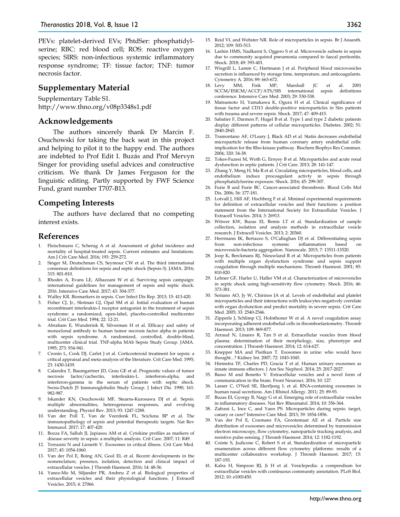PEVs: platelet-derived EVs; PhtdSer: phosphatidylserine; RBC: red blood cell; ROS: reactive oxygen species; SIRS: non-infectious systemic inflammatory response syndrome; TF: tissue factor; TNF: tumor necrosis factor.

#### **Supplementary Material**

Supplementary Table S1. http://www.thno.org/v08p3348s1.pdf

#### **Acknowledgements**

The authors sincerely thank Dr Marcin F. Osuchowski for taking the back seat in this project and helping to pilot it to the happy end. The authors are indebted to Prof Edit I. Buzás and Prof Mervyn Singer for providing useful advices and constructive criticism. We thank Dr James Ferguson for the linguistic editing. Partly supported by FWF Science Fund, grant number T707-B13.

### **Competing Interests**

The authors have declared that no competing interest exists.

#### **References**

- 1. Fleischmann C, Scherag A et al. Assessment of global incidence and mortality of hospital-treated sepsis. Current estimates and limitations. Am J Crit Care Med. 2016; 193: 259-272.
- 2. Singer M, Deutschman CS, Seymour CW et al. The third international consensus definitions for sepsis and septic shock (Sepsis-3). JAMA. 2016; 315: 801-810.
- 3. Rhodes A, Evans LE, Alhazzani W et al. Surviving sepsis campaign: international guidelines for management of sepsis and septic shock: 2016. Intensive Care Med. 2017; 43: 304-377.
- 4. Walley KR. Biomarkers in sepsis. Curr Infect Dis Rep. 2013; 15: 413-420.
- 5. Fisher CJ, Jr., Slotman GJ, Opal SM et al. Initial evaluation of human recombinant interleukin-1 receptor antagonist in the treatment of sepsis syndrome: a randomized, open-label, placebo-controlled multicenter trial. Crit Care Med. 1994; 22: 12-21.
- 6. Abraham E, Wunderink R, Silverman H et al. Efficacy and safety of monoclonal antibody to human tumor necrosis factor alpha in patients with sepsis syndrome. A randomized, controlled, double-blind, multicenter clinical trial. TNF-alpha MAb Sepsis Study Group. JAMA. 1995; 273: 934-941.
- 7. Cronin L, Cook DJ, Carlet J et al. Corticosteroid treatment for sepsis: a critical appraisal and meta-analysis of the literature. Crit Care Med. 1995; 23: 1430-1439.
- 8. Calandra T, Baumgartner JD, Grau GE et al. Prognostic values of tumor necrosis factor/cachectin, interleukin-1, interferon-alpha, and interferon-gamma in the serum of patients with septic shock. Swiss-Dutch J5 Immunoglobulin Study Group. J Infect Dis. 1990; 161: 982-987.
- 9. Iskander KN, Osuchowski MF, Stearns-Kurosawa DJ et al. Sepsis: multiple abnormalities, heterogeneous responses, and evolving understanding. Physiol Rev. 2013; 93: 1247-1288.
- 10. Van der Poll T, Van de Veerdonk FL, Scicluna BP et al. The immunopathology of sepsis and potential therapeutic targets. Nat Rev Immunol. 2017; 17: 407-420.
- 11. Bozza FA, Salluh JI, Japiassu AM et al. Cytokine profiles as markers of disease severity in sepsis: a multiplex analysis. Crit Care. 2007; 11: R49.
- 12. Terrasini N and Lionetti V. Exosomes in critical illness. Crit Care Med. 2017; 45: 1054-1060.
- 13. Van der Pol E, Boing AN, Gool EL et al. Recent developments in the nomenclature, presence, isolation, detection and clinical impact of extracellular vesicles. J Thromb Haemost. 2016; 14: 48-56.
- 14. Yanez-Mo M, Siljander PR, Andreu Z et al. Biological properties of extracellular vesicles and their physiological functions. J Extracell Vesicles. 2015; 4: 27066.
- 15. Reid VL and Webster NR. Role of microparticles in sepsis. Br J Anaesth. 2012; 109: 503-513.
- 16. Lashin HMS, Nadkarni S, Oggero S et al. Microvesicle subsets in sepsis due to community acquired pneumonia compared to faecal peritonitis. Shock. 2018; 49: 393-401.
- 17. Wisgrill L, Lamm C, Hartmann J et al. Peripheral blood microvesicles secretion is influenced by storage time, temperature, and anticoagulants. Cytometry A. 2016; 89: 663-672.<br>Levy MM. Fink MP.
- 18. Levy MM, Fink MP, Marshall JC et al. 2001<br>SCCM/ESICM/ACCP/ATS/SIS international sepsis definitions international sepsis definitions conference. Intensive Care Med. 2003; 29: 530-538.
- 19. Matsumoto H, Yamakawa K, Ogura H et al. Clinical significance of tissue factor and CD13 double-positive microparticles in Sirs patients with trauma and severe sepsis. Shock. 2017; 47: 409-415.
- 20. Sabatier F, Darmon P, Hugel B et al. Type 1 and type 2 diabetic patients display different patterns of cellular microparticles. Diabetes. 2002; 51: 2840-2845.
- 21. Tramontano AF, O'Leary J, Black AD et al. Statin decreases endothelial microparticle release from human coronary artery endothelial cells: implication for the Rho-kinase pathway. Biochem Biophys Res Commun. 2004; 320: 34-38.
- 22. Tokes-Fuzesi M, Woth G, Ernyey B et al. Microparticles and acute renal dysfunction in septic patients. J Crit Care. 2013; 28: 141-147.
- 23. Zhang Y, Meng H, Ma R et al. Circulating microparticles, blood cells, and endothelium induce procoagulant activty in sepsis through phosphatidylserine exposure. Shock. 2016; 45: 299-307.
- 24. Furie B and Furie BC. Cancer-associated thrombosis. Blood Cells Mol Dis. 2006; 36: 177-181.
- 25. Lotvall J, Hill AF, Hochberg F et al. Minimal experimental requirements for definition of extracellular vesicles and their functions: a position statement from the International Society for Extracellular Vesicles. J Extracell Vesicles. 2014; 3: 26913.
- 26. Witwer KW, Buzas EI, Bemis LT et al. Standardization of sample collection, isolation and analysis methods in extracellular vesicle research. J Extracell Vesicles. 2013; 2: 20360.
- 27. Herrmann IK, Bertazzo S, O'Callaghan DJ et al. Differentiating sepsis from non-infectious systemic inflammation based microvesicle-bacteria aggregation. Nanoscale. 2015; 7: 13511-13520.
- 28. Joop K, Berckmans RJ, Nieuwland R et al. Microparticles from patients with multiple organ dysfunction syndrome and sepsis support coagulation through multiple mechanisms. Thromb Haemost. 2001; 85: 810-820.
- 29. Lehner GF, Harler U, Haller VM et al. Characterization of microvesicles in septic shock using high-sensitivity flow cytometry. Shock. 2016; 46: 373-381.
- 30. Soriano AO, Jy W, Chirinos JA et al. Levels of endothelial and platelet microparticles and their interactions with leukocytes negatively correlate with organ dysfunction and predict mortality in severe sepsis. Crit Care Med. 2005; 33: 2540-2546.
- 31. Zipperle J, Schlimp CJ, Holnthoner W et al. A novel coagulation assay incorporating adherent endothelial cells in thromboelastometry. Thromb Haemost. 2013; 109: 869-877.
- 32. Arraud N, Linares R, Tan S et al. Extracellular vesicles from blood plasma: determination of their morphology, size, phenotype and concentration. J Thromb Haemost. 2014; 12: 614-627.
- 33. Knepper MA and Pisitkun T. Exosomes in urine: who would have thought...? Kidney Int. 2007; 72: 1043-1045.
- 34. Hiemstra TF, Charles PD, Gracia T et al. Human urinary exosomes as innate immune effectors. J Am Soc Nephrol. 2014; 25: 2017-2027.
- 35. Basso M and Bonetto V. Extracellular vesicles and a novel form of communication in the brain. Front Neurosci. 2016; 10: 127.
- 36. Lasser C, O'Neil SE, Ekerljung L et al. RNA-containing exosomes in human nasal secretions. Am J Rhinol Allergy. 2011; 25: 89-93.
- 37. Buzas EI, Gyorgy B, Nagy G et al. Emerging role of extracellular vesicles in inflammatory diseases. Nat Rev Rheumatol. 2014; 10: 356-364.
- 38. Zafrani L, Ince C, and Yuen PS. Microparticles during sepsis: target, canary or cure? Intensive Care Med. 2013; 39: 1854-1856.
- 39. Van der Pol E, Coumans FA, Grootemaat AE et al. Particle size distribution of exosomes and microvesicles determined by transmission electron microscopy, flow cytometry, nanoparticle tracking analysis, and resistive pulse sensing. J Thromb Haemost. 2014; 12: 1182-1192.
- 40. Cointe S, Judicone C, Robert S et al. Standardization of microparticle enumeration across different flow cytometry platforms: results of a multicenter collaborative workshop. J Thromb Haemost. 2017; 15: 187-193.
- 41. Kalra H, Simpson RJ, Ji H et al. Vesiclepedia: a compendium for extracellular vesicles with continuous community annotation. PLoS Biol. 2012; 10: e1001450.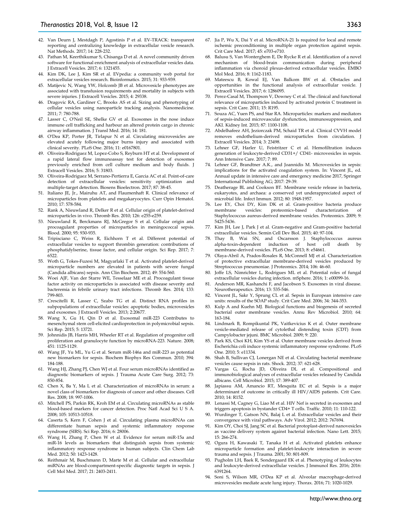- 42. Van Deurn J, Mestdagh P, Agostinis P et al. EV-TRACK: transparent reporting and centralizing knowledge in extracellular vesicle research. Nat Methods. 2017; 14: 228-232.
- 43. Pathan M, Keerthikumar S, Chisanga D et al. A novel community driven software for functional enrichment analysis of extracellular vesicles data. J Extracell Vesicles. 2017; 6: 1321455.
- 44. Kim DK, Lee J, Kim SR et al. EVpedia: a community web portal for extracellular vesicles research. Bioinformatics. 2015; 31: 933-939.
- 45. Matijevic N, Wang YW, Holcomb JB et al. Microvesicle phenotypes are associated with transfusion requirements and mortality in subjects with severe injuries. J Extracell Vesicles. 2015; 4: 29338.
- 46. Dragovic RA, Gardiner C, Brooks AS et al. Sizing and phenotyping of cellular vesicles using nanoparticle tracking analysis. Nanomedicine. 2011; 7: 780-788.
- 47. Lasser C, O'Neil SE, Shelke GV et al. Exosomes in the nose induce immune cell trafficking and harbour an altered protein cargo in chronic airway inflammation. J Transl Med. 2016; 14: 181.
- 48. O'Dea KP, Porter JR, Tirlapur N et al. Circulating microvesicles are elevated acutely following major burns injury and associated with clinical severity. PLoS One. 2016; 11: e0167801.
- 49. Oliveira-Rodriguez M, Lopez-Cobo S, Reyburn HT et al. Development of a rapid lateral flow immunoassay test for detection of exosomes previously enriched from cell culture medium and body fluids. J Extracell Vesicles. 2016; 5: 31803.
- 50. Oliveira-Rodriguez M, Serrano-Pertierra E, Garcia AC et al. Point-of-care detection of extracellular vesicles: sensitivity optimization and multiple-target detection. Biosens Bioelectron. 2017; 87: 38-45.
- 51. Italiano JE, Jr., Mairuhu AT, and Flaumenhaft R. Clinical relevance of microparticles from platelets and megakaryocytes. Curr Opin Hematol. 2010; 17: 578-584.
- 52. Rank A, Nieuwland R, Delker R et al. Cellular origin of platelet-derived microparticles in vivo. Thromb Res. 2010; 126: e255-e259.
- 53. Nieuwland R, Berckmans RJ, McGregor S et al. Cellular origin and procoagulant properties of microparticles in meningococcal sepsis. Blood. 2000; 95: 930-935.
- 54. Tripisciano C, Weiss R, Eichhorn T et al. Different potential of extracellular vesicles to support thrombin generation: contributions of phosphatidylserine, tissue factor, and cellular origin. Sci Rep. 2017; 7: 6522.
- 55. Woth G, Tokes-Fuzesi M, Magyarlaki T et al. Activated platelet-derived microparticle numbers are elevated in patients with severe fungal (Candida albicans) sepsis. Ann Clin Biochem. 2012; 49: 554-560.
- 56. Woei AJF, Van der Starre WE, Tesselaar ME et al. Procoagulant tissue factor activity on microparticles is associated with disease severity and bacteremia in febrile urinary tract infections. Thromb Res. 2014; 133: 799-803.
- 57. Crescitelli R, Lasser C, Szabo TG et al. Distinct RNA profiles in subpopulations of extracellular vesicles: apoptotic bodies, microvesicles and exosomes. J Extracell Vesicles. 2013; 2:20677.
- 58. Wang X, Gu H, Qin D et al. Exosomal miR-223 Contributes to mesenchymal stem cell-elicited cardioprotection in polymicrobial sepsis. Sci Rep. 2015; 5: 13721.
- 59. Johnnidis JB, Harris MH, Wheeler RT et al. Regulation of progenitor cell proliferation and granulocyte function by microRNA-223. Nature. 2008; 451: 1125-1129.
- 60. Wang JF, Yu ML, Yu G et al. Serum miR-146a and miR-223 as potential new biomarkers for sepsis. Biochem Biophys Res Commun. 2010; 394: 184-188.
- 61. Wang HJ, Zhang PJ, Chen WJ et al. Four serum microRNAs identified as diagnostic biomarkers of sepsis. J Trauma Acute Care Surg. 2012; 73: 850-854.
- 62. Chen X, Ba Y, Ma L et al. Characterization of microRNAs in serum: a novel class of biomarkers for diagnosis of cancer and other diseases. Cell Res. 2008; 18: 997-1006.
- Mitchell PS, Parkin RK, Kroh EM et al. Circulating microRNAs as stable blood-based markers for cancer detection. Proc Natl Acad Sci U S A. 2008; 105: 10513-10518.
- 64. Caserta S, Kern F, Cohen J et al. Circulating plasma microRNAs can differentiate human sepsis and systemic inflammatory response syndrome (SIRS). Sci Rep. 2016; 6: 28006.
- 65. Wang H, Zhang P, Chen W et al. Evidence for serum miR-15a and miR-16 levels as biomarkers that distinguish sepsis from systemic inflammatory response syndrome in human subjects. Clin Chem Lab Med. 2012; 50: 1423-1428.
- Reithmair M, Buschmann D, Marte M et al. Cellular and extracellular miRNAs are blood-compartment-specific diagnostic targets in sepsis. J Cell Mol Med. 2017; 21: 2403-2411.
- 67. Jia P, Wu X, Dai Y et al. MicroRNA-21 Is required for local and remote ischemic preconditioning in multiple organ protection against sepsis. Crit Care Med. 2017; 45: e703-e710.
- 68. Balusu S, Van Wonterghem E, De Rycke R et al. Identification of a novel mechanism of blood-brain communication during peripheral inflammation via choroid plexus-derived extracellular vesicles. EMBO Mol Med. 2016; 8: 1162-1183.
- 69. Mateescu B, Kowal EJ, Van Balkom BW et al. Obstacles and opportunities in the functional analysis of extracellular vesicle. J Extracell Vesicles. 2017; 6: 1286095.
- 70. Perez-Casal M, Thompson V, Downey C et al. The clinical and functional relevance of microparticles induced by activated protein C treatment in sepsis. Crit Care. 2011; 15: R195.
- 71. Souza AC, Yuen PS, and Star RA. Microparticles: markers and mediators of sepsis-induced microvascular dysfunction, immunosuppression, and AKI. Kidney Int. 2015; 87: 1100-1108.
- 72. Abdelhafeez AH, Jeziorczak PM, Schaid TR et al. Clinical CVVH model removes endothelium-derived microparticles from circulation. J Extracell Vesicles. 2014; 3: 23498.
- 73. Lehner GF, Harler U, Feistritzer C et al. Hemofiltration induces generation of leukocyte-derived CD31+/ CD41- microvesicles in sepsis. Ann Intensive Care. 2017; 7: 89.
- 74. Lehner GF, Brandtner A.K., and Joannidis M. Microvesicles in sepsis: implications for the activated coagulation system. In: Vincent JL, ed. Annual update in intensive care and emergency medicine 2017, Springer International Publishing AG; 2017: 29-39.
- 75. Deatherage BL and Cookson BT. Membrane vesicle release in bacteria, eukaryotes, and archaea: a conserved yet underappreciated aspect of microbial life. Infect Immun. 2012; 80: 1948-1957.
- 76. Lee EY, Choi DY, Kim DK et al. Gram-positive bacteria produce membrane vesicles: proteomics-based characterization of Staphylococcus aureus-derived membrane vesicles. Proteomics. 2009; 9: 5425-5436.
- 77. Kim JH, Lee J, Park J et al. Gram-negative and Gram-positive bacterial extracellular vesicles. Semin Cell Dev Biol. 2015; 40: 97-104.
- 78. Thay B, Wai SN, and Oscarsson J. Staphylococcus aureus alpha-toxin-dependent induction of host cell death by membrane-derived vesicles. PLoS One. 2013; 8: e54661.
- 79. Olaya-Abril A, Prados-Rosales R, McConnell MJ et al. Characterization of protective extracellular membrane-derived vesicles produced by Streptococcus pneumoniae. J Proteomics. 2014; 106: 46-60.
- 80. Joffe LS, Nimrichter L, Rodrigues ML et al. Potential roles of fungal extracellular vesicles during infection. mSphere. 2016; 1: e00099-16.
- 81. Anderson MR, Kashanchi F, and Jacobson S. Exosomes in viral disease. Neurotherapeutics. 2016; 13: 535-546.
- 82. Vincent JL, Sakr Y, Sprung CL et al. Sepsis in European intensive care units: results of the SOAP study. Crit Care Med. 2006; 34: 344-353.
- 83. Kulp A and Kuehn MJ. Biological functions and biogenesis of secreted bacterial outer membrane vesicles. Annu Rev Microbiol. 2010; 64: 163-184.
- 84. Lindmark B, Rompikuntal PK, Vaitkevicius K et al. Outer membrane vesicle-mediated release of cytolethal distending toxin (CDT) from Campylobacter jejuni. BMC Microbiol. 2009; 9: 220.
- 85. Park KS, Choi KH, Kim YS et al. Outer membrane vesicles derived from Escherichia coli induce systemic inflammatory response syndrome. PLoS One. 2010; 5: e11334.
- 86. Shah B, Sullivan CJ, Lonergan NE et al. Circulating bacterial membrane vesicles cause sepsis in rats. Shock. 2012; 37: 621-628.
- 87. Vargas G, Rocha JD, Oliveira DL et al. Compositional and immunobiological analyses of extracellular vesicles released by Candida albicans. Cell Microbiol. 2015; 17: 389-407.
- 88. Japiassu AM, Amancio RT, Mesquita EC et al. Sepsis is a major determinant of outcome in critically ill HIV/AIDS patients. Crit Care. 2010; 14: R152.
- 89. Lenassi M, Cagney G, Liao M et al. HIV Nef is secreted in exosomes and triggers apoptosis in bystander CD4+ T cells. Traffic. 2010; 11: 110-122.
- 90. Wurdinger T, Gatson NN, Balaj L et al. Extracellular vesicles and their convergence with viral pathways. Adv Virol. 2012; 2012: 767694.
- 91. Kim OY, Choi SJ, Jang SC et al. Bacterial protoplast-derived nanovesicles as vaccine delivery system against bacterial infection. Nano Lett. 2015; 15: 266-274.
- 92. Ogura H, Kawasaki T, Tanaka H et al. Activated platelets enhance microparticle formation and platelet-leukocyte interaction in severe trauma and sepsis. J Trauma. 2001; 50: 801-809.
- 93. Pugholm LH, Baek R, Sondergaard EK et al. Phenotyping of leukocytes and leukocyte-derived extracellular vesicles. J Immunol Res. 2016; 2016: 6391264.
- 94. Soni S, Wilson MR, O'Dea KP et al. Alveolar macrophage-derived microvesicles mediate acute lung injury. Thorax. 2016; 71: 1020-1029.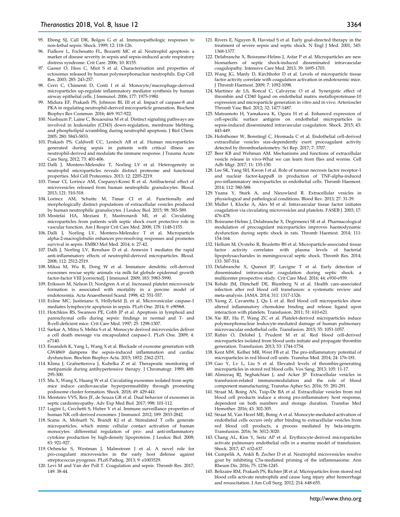- 95. Ebong SJ, Call DR, Bolgos G et al. Immunopathologic responses to non-lethal sepsis. Shock. 1999; 12: 118-126.
- 96. Fialkow L, Fochesatto FL, Bozzetti MC et al. Neutrophil apoptosis: a marker of disease severity in sepsis and sepsis-induced acute respiratory distress syndrome. Crit Care. 2006; 10: R155.
- 97. Gasser O, Hess C, Miot S et al. Characterisation and properties of ectosomes released by human polymorphonuclear neutrophils. Exp Cell Res. 2003; 285: 243-257.
- 98. Cerri C, Chimenti D, Conti I et al. Monocyte/macrophage-derived microparticles up-regulate inflammatory mediator synthesis by human airway epithelial cells. J Immunol. 2006; 177: 1975-1980.
- 99. Midura EF, Prakash PS, Johnson BL III et al. Impact of caspase-8 and PKA in regulating neutrophil-derived microparticle generation. Biochem Biophys Res Commun. 2016; 469: 917-922.
- 100. Nusbaum P, Laine C, Bouaouina M et al. Distinct signaling pathways are involved in leukosialin (CD43) down-regulation, membrane blebbing, and phospholipid scrambling during neutrophil apoptosis. J Biol Chem. 2005; 280: 5843-5853.
- 101. Prakash PS, Caldwell CC, Lentsch AB et al. Human microparticles generated during sepsis in patients with critical illness are neutrophil-derived and modulate the immune response. J Trauma Acute Care Surg. 2012; 73: 401-406.
- 102. Dalli J, Montero-Melendez T, Norling LV et al. Heterogeneity in neutrophil microparticles reveals distinct proteome and functional properties. Mol Cell Proteomics. 2013; 12: 2205-2219.
- 103. Timar CI, Lorincz AM, Csepanyi-Komi R et al. Antibacterial effect of microvesicles released from human neutrophilic granulocytes. Blood. 2013; 121: 510-518.
- 104. Lorincz AM, Schutte M, Timar CI et al. Functionally and morphologically distinct populations of extracellular vesicles produced by human neutrophilic granulocytes. J Leukoc Biol. 2015; 98: 583-589.
- 105. Mostefai HA, Meziani F, Mastronardi ML et al. Circulating microparticles from patients with septic shock exert protective role in vascular function. Am J Respir Crit Care Med. 2008; 178: 1148-1155.
- 106. Dalli J, Norling LV, Montero-Melendez T et al. Microparticle alpha-2-macroglobulin enhances pro-resolving responses and promotes survival in sepsis. EMBO Mol Med. 2014; 6: 27-42.
- 107. Dalli J, Norling LV, Renshaw D et al. Annexin 1 mediates the rapid anti-inflammatory effects of neutrophil-derived microparticles. Blood. 2008; 112: 2512-2519.
- 108. Miksa M, Wu R, Dong W et al. Immature dendritic cell-derived exosomes rescue septic animals via milk fat globule epidermal growth factor-factor VIII [corrected]. J Immunol. 2009; 183: 5983-5990.
- 109. Eriksson M, Nelson D, Nordgren A et al. Increased platelet microvesicle formation is associated with mortality in a porcine model of endotoxemia. Acta Anaesthesiol Scand. 1998; 42: 551-557.
- 110. Exline MC, Justiniano S, Hollyfield JL et al. Microvesicular caspase-1 mediates lymphocyte apoptosis in sepsis. PLoS One. 2014; 9: e90968.
- 111. Hotchkiss RS, Swanson PE, Cobb JP et al. Apoptosis in lymphoid and parenchymal cells during sepsis: findings in normal and T- and B-cell-deficient mice. Crit Care Med. 1997; 25: 1298-1307.
- 112. Sarkar A, Mitra S, Mehta S et al. Monocyte derived microvesicles deliver a cell death message via encapsulated caspase-1. PLoS One. 2009; 4: e7140.
- 113. Essandoh K, Yang L, Wang X et al. Blockade of exosome generation with GW4869 dampens the sepsis-induced inflammation and cardiac dysfunction. Biochim Biophys Acta. 2015; 1852: 2362-2371.
- 114. Klima J, Grafnetterova J, Kubelka Z et al. Therapeutic monitoring of metipamide during antihypertensive therapy. J Chromatogr. 1989; 488: 295-300.
- 115. Mu X, Wang X, Huang W et al. Circulating exosomes isolated from septic mice induce cardiovascular hyperpermeability through promoting podosome cluster formation. Shock. 2018; 49: 429-441.
- 116. Monteiro VVS, Reis JF, de Souza GR et al. Dual behavior of exosomes in septic cardiomyopathy. Adv Exp Med Biol. 2017; 998: 101-112.
- 117. Lugini L, Cecchetti S, Huber V et al. Immune surveillance properties of human NK cell-derived exosomes. J Immunol. 2012; 189: 2833-2842.
- 118. Scanu A, Molnarfi N, Brandt KJ et al. Stimulated T cells generate microparticles, which mimic cellular contact activation of human monocytes: differential regulation of pro- and anti-inflammatory cytokine production by high-density lipoproteins. J Leukoc Biol. 2008; 83: 921-927.
- 119. Oehmcke S, Westman J, Malmstrom J et al. A novel role for pro-coagulant microvesicles in the early host defense against streptococcus pyogenes. PLoS Pathog. 2013; 9: e1003529.
- 120. Levi M and Van der Poll T. Coagulation and sepsis. Thromb Res. 2017; 149: 38-44.
- 121. Rivers E, Nguyen B, Havstad S et al. Early goal-directed therapy in the treatment of severe sepsis and septic shock. N Engl J Med. 2001; 345: 1368-1377.
- 122. Delabranche X, Boisrame-Helms J, Asfar P et al. Microparticles are new biomarkers of septic shock-induced disseminated intravascular coagulopathy. Intensive Care Med. 2013; 39: 1695-1703.
- 123. Wang JG, Manly D, Kirchhofer D et al. Levels of microparticle tissue factor activity correlate with coagulation activation in endotoxemic mice. J Thromb Haemost. 2009; 7: 1092-1098.
- 124. Martinez de LS, Roncal C, Calvayrac O et al. Synergistic effect of thrombin and CD40 ligand on endothelial matrix metalloproteinase-10 expression and microparticle generation in vitro and in vivo. Arterioscler Thromb Vasc Biol. 2012; 32: 1477-1487.
- 125. Matsumoto H, Yamakawa K, Ogura H et al. Enhanced expression of cell-specific surface antigens on endothelial microparticles in sepsis-induced disseminated intravascular coagulation. Shock. 2015; 43: 443-449.
- 126. Holnthoner W, Bonstingl C, Hromada C et al. Endothelial cell-derived extracellular vesicles size-dependently exert procoagulant activity detected by thromboelastometry. Sci Rep. 2017; 7: 3707.
- 127. Beer KB and Wehman AM. Mechanisms and functions of extracellular vesicle release in vivo-What we can learn from flies and worms. Cell Adh Migr. 2017; 11: 135-150.
- 128. Lee SK, Yang SH, Kwon I et al. Role of tumour necrosis factor receptor-1 and nuclear factor-kappaB in production of TNF-alpha-induced pro-inflammatory microparticles in endothelial cells. Thromb Haemost. 2014; 112: 580-588.
- 129. Yuana Y, Sturk A, and Nieuwland R. Extracellular vesicles in physiological and pathological conditions. Blood Rev. 2013; 27: 31-39.
- 130. Muller I, Klocke A, Alex M et al. Intravascular tissue factor initiates coagulation via circulating microvesicles and platelets. FASEB J. 2003; 17: 476-478.
- 131. Boisrame-Helms J, Delabranche X, Degirmenci SE et al. Pharmacological modulation of procoagulant microparticles improves haemodynamic dysfunction during septic shock in rats. Thromb Haemost. 2014; 111: 154-164.
- 132. Hellum M, Ovstebo R, Brusletto BS et al. Microparticle-associated tissue factor activity correlates with plasma levels of bacterial lipopolysaccharides in meningococcal septic shock. Thromb Res. 2014; 133: 507-514.
- 133. Delabranche X, Quenot JP, Lavigne T et al. Early detection of disseminated intravascular coagulation during septic shock: a multicenter prospective study. Crit Care Med. 2016; 44: e930-e939.
- 134. Rohde JM, Dimcheff DE, Blumberg N et al. Health care-associated infection after red blood cell transfusion: a systematic review and meta-analysis. JAMA. 2014; 311: 1317-1326.
- 135. Xiong Z, Cavaretta J, Qu L et al. Red blood cell microparticles show altered inflammatory chemokine binding and release ligand upon interaction with platelets. Transfusion. 2011; 51: 610-621.
- 136. Xie RF, Hu P, Wang ZC et al. Platelet-derived microparticles induce polymorphonuclear leukocyte-mediated damage of human pulmonary microvascular endothelial cells. Transfusion. 2015; 55: 1051-1057.
- 137. Rubin O, Delobel J, Prudent M et al. Red blood cell-derived microparticles isolated from blood units initiate and propagate thrombin generation. Transfusion. 2013; 53: 1744-1754.
- 138. Kent MW, Kelher MR, West FB et al. The pro-inflammatory potential of microparticles in red blood cell units. Transfus Med. 2014; 24: 176-181.
- 139. Gao Y, Lv L, Liu S et al. Elevated levels of thrombin-generating microparticles in stored red blood cells. Vox Sang. 2013; 105: 11-17.
- 140. Almizraq RJ, Seghatchian J, and Acker JP. Extracellular vesicles in transfusion-related immunomodulation and the role of blood component manufacturing. Transfus Apher Sci. 2016; 55: 281-291.
- 141. Straat M, Boing AN, Tuip-De BA et al. Extracellular vesicles from red blood cell products induce a strong pro-inflammatory host response, dependent on both numbers and storage duration. Transfus Med Hemother. 2016; 43: 302-305.
- 142. Straat M, Van Hezel ME, Boing A et al. Monocyte-mediated activation of endothelial cells occurs only after binding to extracellular vesicles from red blood cell products, a process mediated by beta-integrin. Transfusion. 2016; 56: 3012-3020.
- 143. Chang AL, Kim Y, Seitz AP et al. Erythrocyte-derived microparticles activate pulmonary endothelial cells in a murine model of transfusion. Shock. 2017; 47: 632-637.
- 144. Cumpelik A, Ankli B, Zecher D et al. Neutrophil microvesicles resolve gout by inhibiting C5a-mediated priming of the inflammasome. Ann Rheum Dis. 2016; 75: 1236-1245.
- 145. Belizaire RM, Prakash PS, Richter JR et al. Microparticles from stored red blood cells activate neutrophils and cause lung injury after hemorrhage and resuscitation. J Am Coll Surg. 2012; 214: 648-655.